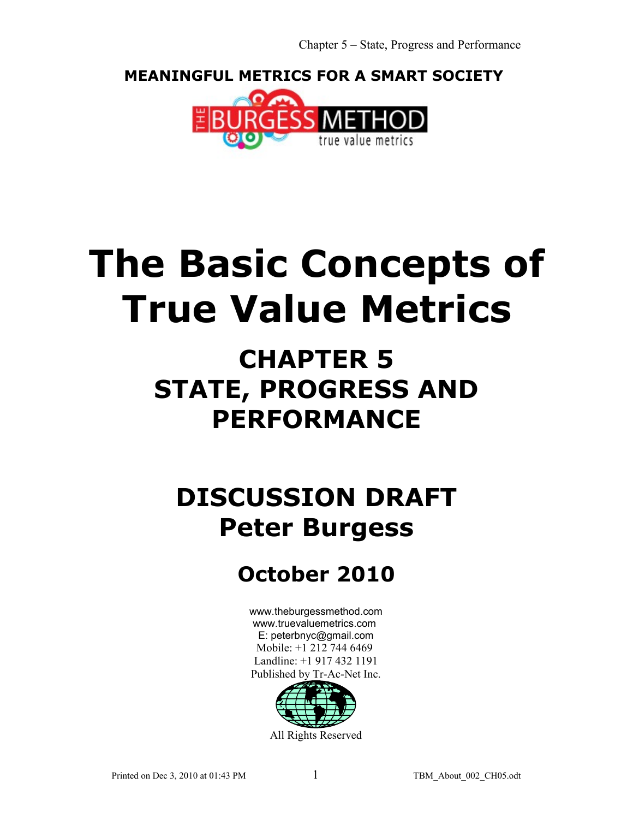**MEANINGFUL METRICS FOR A SMART SOCIETY** 



# **The Basic Concepts of True Value Metrics**

## **CHAPTER 5 STATE, PROGRESS AND PERFORMANCE**

## **DISCUSSION DRAFT Peter Burgess**

## **October 2010**

[www.theburgessmethod.com](http://www.theburgessmethod.com/) [www.truevaluemetrics.com](http://www.tr-ac-net.org/) E: peterbnyc@gmail.com Mobile: +1 212 744 6469 Landline: +1 917 432 1191 Published by Tr-Ac-Net Inc.



All Rights Reserved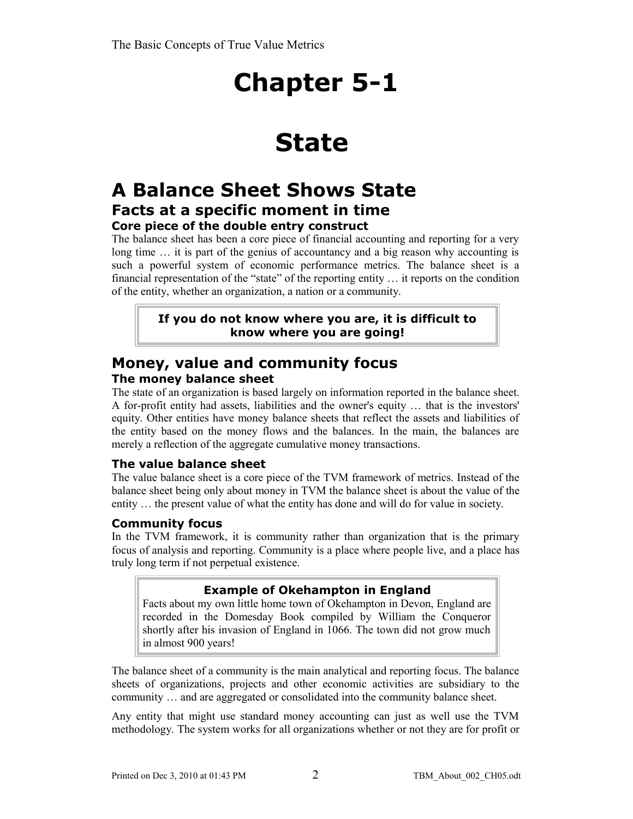## **Chapter 5-1**

## **State**

### **A Balance Sheet Shows State Facts at a specific moment in time Core piece of the double entry construct**

The balance sheet has been a core piece of financial accounting and reporting for a very long time … it is part of the genius of accountancy and a big reason why accounting is such a powerful system of economic performance metrics. The balance sheet is a financial representation of the "state" of the reporting entity … it reports on the condition of the entity, whether an organization, a nation or a community.

#### **If you do not know where you are, it is difficult to know where you are going!**

### **Money, value and community focus**

#### **The money balance sheet**

The state of an organization is based largely on information reported in the balance sheet. A for-profit entity had assets, liabilities and the owner's equity … that is the investors' equity. Other entities have money balance sheets that reflect the assets and liabilities of the entity based on the money flows and the balances. In the main, the balances are merely a reflection of the aggregate cumulative money transactions.

#### **The value balance sheet**

The value balance sheet is a core piece of the TVM framework of metrics. Instead of the balance sheet being only about money in TVM the balance sheet is about the value of the entity … the present value of what the entity has done and will do for value in society.

#### **Community focus**

In the TVM framework, it is community rather than organization that is the primary focus of analysis and reporting. Community is a place where people live, and a place has truly long term if not perpetual existence.

#### **Example of Okehampton in England**

Facts about my own little home town of Okehampton in Devon, England are recorded in the Domesday Book compiled by William the Conqueror shortly after his invasion of England in 1066. The town did not grow much in almost 900 years!

The balance sheet of a community is the main analytical and reporting focus. The balance sheets of organizations, projects and other economic activities are subsidiary to the community … and are aggregated or consolidated into the community balance sheet.

Any entity that might use standard money accounting can just as well use the TVM methodology. The system works for all organizations whether or not they are for profit or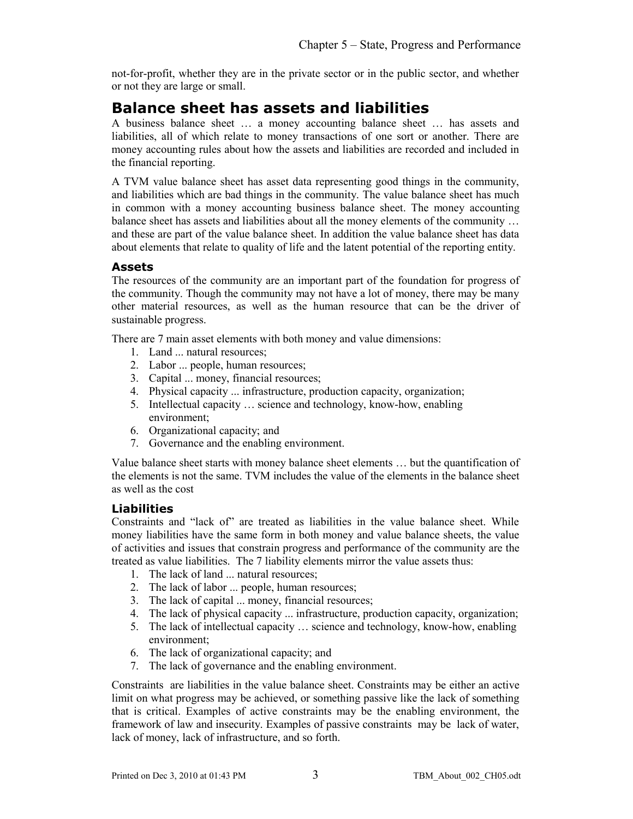not-for-profit, whether they are in the private sector or in the public sector, and whether or not they are large or small.

### **Balance sheet has assets and liabilities**

A business balance sheet … a money accounting balance sheet … has assets and liabilities, all of which relate to money transactions of one sort or another. There are money accounting rules about how the assets and liabilities are recorded and included in the financial reporting.

A TVM value balance sheet has asset data representing good things in the community, and liabilities which are bad things in the community. The value balance sheet has much in common with a money accounting business balance sheet. The money accounting balance sheet has assets and liabilities about all the money elements of the community … and these are part of the value balance sheet. In addition the value balance sheet has data about elements that relate to quality of life and the latent potential of the reporting entity.

#### **Assets**

The resources of the community are an important part of the foundation for progress of the community. Though the community may not have a lot of money, there may be many other material resources, as well as the human resource that can be the driver of sustainable progress.

There are 7 main asset elements with both money and value dimensions:

- 1. Land ... natural resources;
- 2. Labor ... people, human resources;
- 3. Capital ... money, financial resources;
- 4. Physical capacity ... infrastructure, production capacity, organization;
- 5. Intellectual capacity … science and technology, know-how, enabling environment;
- 6. Organizational capacity; and
- 7. Governance and the enabling environment.

Value balance sheet starts with money balance sheet elements … but the quantification of the elements is not the same. TVM includes the value of the elements in the balance sheet as well as the cost

#### **Liabilities**

Constraints and "lack of" are treated as liabilities in the value balance sheet. While money liabilities have the same form in both money and value balance sheets, the value of activities and issues that constrain progress and performance of the community are the treated as value liabilities. The 7 liability elements mirror the value assets thus:

- 1. The lack of land ... natural resources;
- 2. The lack of labor ... people, human resources;
- 3. The lack of capital ... money, financial resources;
- 4. The lack of physical capacity ... infrastructure, production capacity, organization;
- 5. The lack of intellectual capacity … science and technology, know-how, enabling environment;
- 6. The lack of organizational capacity; and
- 7. The lack of governance and the enabling environment.

Constraints are liabilities in the value balance sheet. Constraints may be either an active limit on what progress may be achieved, or something passive like the lack of something that is critical. Examples of active constraints may be the enabling environment, the framework of law and insecurity. Examples of passive constraints may be lack of water, lack of money, lack of infrastructure, and so forth.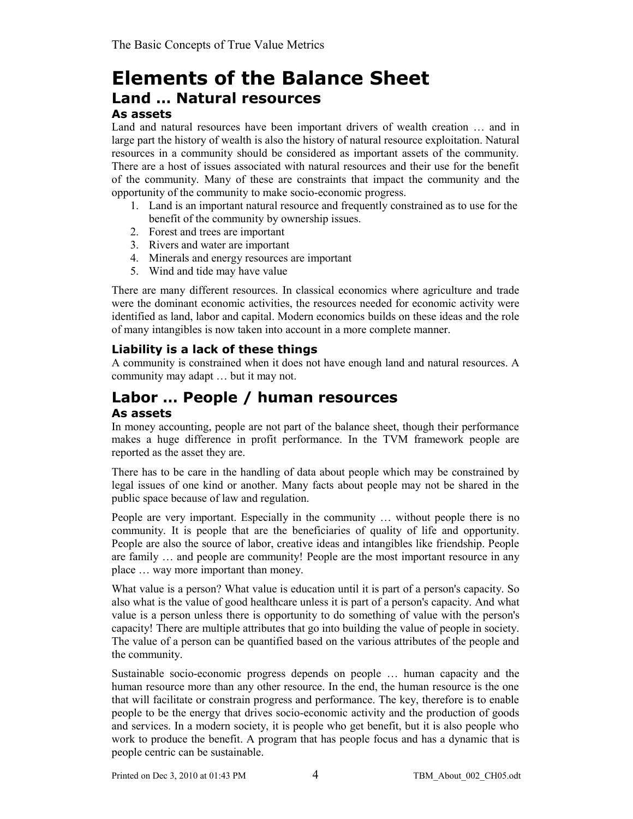### **Elements of the Balance Sheet Land … Natural resources As assets**

Land and natural resources have been important drivers of wealth creation … and in large part the history of wealth is also the history of natural resource exploitation. Natural resources in a community should be considered as important assets of the community. There are a host of issues associated with natural resources and their use for the benefit of the community. Many of these are constraints that impact the community and the opportunity of the community to make socio-economic progress.

- 1. Land is an important natural resource and frequently constrained as to use for the benefit of the community by ownership issues.
- 2. Forest and trees are important
- 3. Rivers and water are important
- 4. Minerals and energy resources are important
- 5. Wind and tide may have value

There are many different resources. In classical economics where agriculture and trade were the dominant economic activities, the resources needed for economic activity were identified as land, labor and capital. Modern economics builds on these ideas and the role of many intangibles is now taken into account in a more complete manner.

#### **Liability is a lack of these things**

A community is constrained when it does not have enough land and natural resources. A community may adapt … but it may not.

#### **Labor … People / human resources As assets**

In money accounting, people are not part of the balance sheet, though their performance makes a huge difference in profit performance. In the TVM framework people are reported as the asset they are.

There has to be care in the handling of data about people which may be constrained by legal issues of one kind or another. Many facts about people may not be shared in the public space because of law and regulation.

People are very important. Especially in the community … without people there is no community. It is people that are the beneficiaries of quality of life and opportunity. People are also the source of labor, creative ideas and intangibles like friendship. People are family … and people are community! People are the most important resource in any place … way more important than money.

What value is a person? What value is education until it is part of a person's capacity. So also what is the value of good healthcare unless it is part of a person's capacity. And what value is a person unless there is opportunity to do something of value with the person's capacity! There are multiple attributes that go into building the value of people in society. The value of a person can be quantified based on the various attributes of the people and the community.

Sustainable socio-economic progress depends on people … human capacity and the human resource more than any other resource. In the end, the human resource is the one that will facilitate or constrain progress and performance. The key, therefore is to enable people to be the energy that drives socio-economic activity and the production of goods and services. In a modern society, it is people who get benefit, but it is also people who work to produce the benefit. A program that has people focus and has a dynamic that is people centric can be sustainable.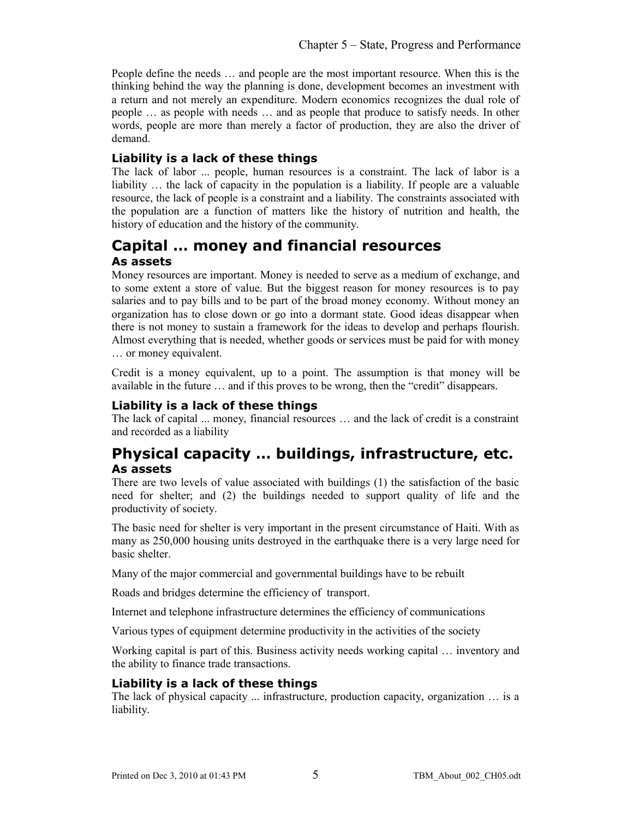People define the needs … and people are the most important resource. When this is the thinking behind the way the planning is done, development becomes an investment with a return and not merely an expenditure. Modern economics recognizes the dual role of people … as people with needs … and as people that produce to satisfy needs. In other words, people are more than merely a factor of production, they are also the driver of demand.

#### **Liability is a lack of these things**

The lack of labor ... people, human resources is a constraint. The lack of labor is a liability … the lack of capacity in the population is a liability. If people are a valuable resource, the lack of people is a constraint and a liability. The constraints associated with the population are a function of matters like the history of nutrition and health, the history of education and the history of the community.

#### **Capital … money and financial resources As assets**

Money resources are important. Money is needed to serve as a medium of exchange, and to some extent a store of value. But the biggest reason for money resources is to pay salaries and to pay bills and to be part of the broad money economy. Without money an organization has to close down or go into a dormant state. Good ideas disappear when there is not money to sustain a framework for the ideas to develop and perhaps flourish. Almost everything that is needed, whether goods or services must be paid for with money … or money equivalent.

Credit is a money equivalent, up to a point. The assumption is that money will be available in the future … and if this proves to be wrong, then the "credit" disappears.

#### **Liability is a lack of these things**

The lack of capital ... money, financial resources … and the lack of credit is a constraint and recorded as a liability

#### **Physical capacity … buildings, infrastructure, etc. As assets**

There are two levels of value associated with buildings (1) the satisfaction of the basic need for shelter; and (2) the buildings needed to support quality of life and the productivity of society.

The basic need for shelter is very important in the present circumstance of Haiti. With as many as 250,000 housing units destroyed in the earthquake there is a very large need for basic shelter.

Many of the major commercial and governmental buildings have to be rebuilt

Roads and bridges determine the efficiency of transport.

Internet and telephone infrastructure determines the efficiency of communications

Various types of equipment determine productivity in the activities of the society

Working capital is part of this. Business activity needs working capital … inventory and the ability to finance trade transactions.

#### **Liability is a lack of these things**

The lack of physical capacity ... infrastructure, production capacity, organization … is a liability.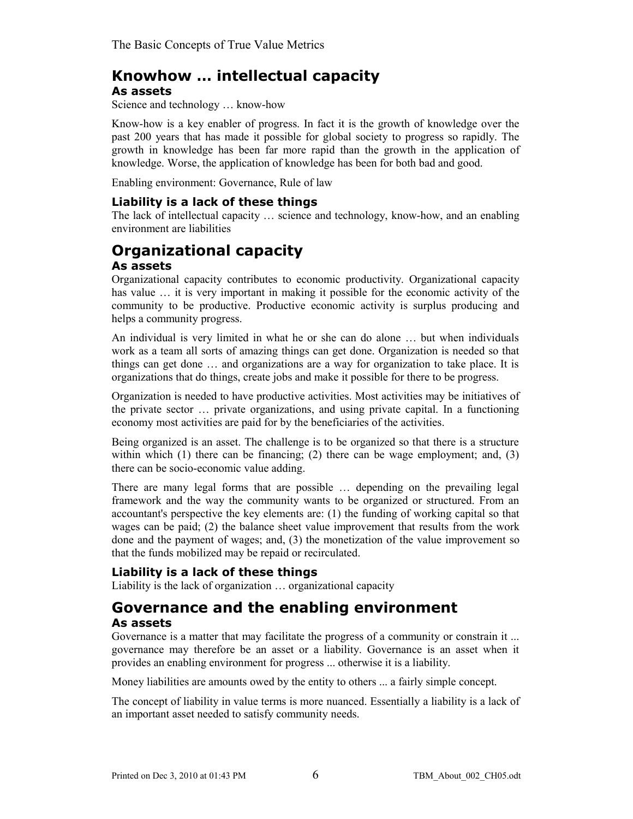### **Knowhow … intellectual capacity**

#### **As assets**

Science and technology … know-how

Know-how is a key enabler of progress. In fact it is the growth of knowledge over the past 200 years that has made it possible for global society to progress so rapidly. The growth in knowledge has been far more rapid than the growth in the application of knowledge. Worse, the application of knowledge has been for both bad and good.

Enabling environment: Governance, Rule of law

#### **Liability is a lack of these things**

The lack of intellectual capacity … science and technology, know-how, and an enabling environment are liabilities

#### **Organizational capacity As assets**

Organizational capacity contributes to economic productivity. Organizational capacity has value ... it is very important in making it possible for the economic activity of the community to be productive. Productive economic activity is surplus producing and helps a community progress.

An individual is very limited in what he or she can do alone … but when individuals work as a team all sorts of amazing things can get done. Organization is needed so that things can get done … and organizations are a way for organization to take place. It is organizations that do things, create jobs and make it possible for there to be progress.

Organization is needed to have productive activities. Most activities may be initiatives of the private sector … private organizations, and using private capital. In a functioning economy most activities are paid for by the beneficiaries of the activities.

Being organized is an asset. The challenge is to be organized so that there is a structure within which (1) there can be financing; (2) there can be wage employment; and, (3) there can be socio-economic value adding.

There are many legal forms that are possible … depending on the prevailing legal framework and the way the community wants to be organized or structured. From an accountant's perspective the key elements are: (1) the funding of working capital so that wages can be paid; (2) the balance sheet value improvement that results from the work done and the payment of wages; and, (3) the monetization of the value improvement so that the funds mobilized may be repaid or recirculated.

#### **Liability is a lack of these things**

Liability is the lack of organization … organizational capacity

#### **Governance and the enabling environment As assets**

Governance is a matter that may facilitate the progress of a community or constrain it ... governance may therefore be an asset or a liability. Governance is an asset when it provides an enabling environment for progress ... otherwise it is a liability.

Money liabilities are amounts owed by the entity to others ... a fairly simple concept.

The concept of liability in value terms is more nuanced. Essentially a liability is a lack of an important asset needed to satisfy community needs.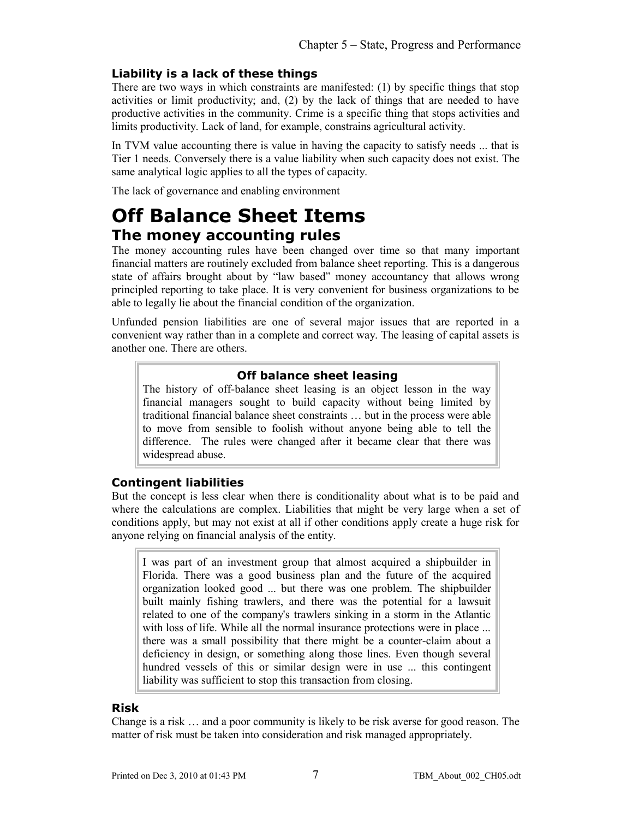#### **Liability is a lack of these things**

There are two ways in which constraints are manifested: (1) by specific things that stop activities or limit productivity; and, (2) by the lack of things that are needed to have productive activities in the community. Crime is a specific thing that stops activities and limits productivity. Lack of land, for example, constrains agricultural activity.

In TVM value accounting there is value in having the capacity to satisfy needs ... that is Tier 1 needs. Conversely there is a value liability when such capacity does not exist. The same analytical logic applies to all the types of capacity.

The lack of governance and enabling environment

### **Off Balance Sheet Items The money accounting rules**

The money accounting rules have been changed over time so that many important financial matters are routinely excluded from balance sheet reporting. This is a dangerous state of affairs brought about by "law based" money accountancy that allows wrong principled reporting to take place. It is very convenient for business organizations to be able to legally lie about the financial condition of the organization.

Unfunded pension liabilities are one of several major issues that are reported in a convenient way rather than in a complete and correct way. The leasing of capital assets is another one. There are others.

#### **Off balance sheet leasing**

The history of off-balance sheet leasing is an object lesson in the way financial managers sought to build capacity without being limited by traditional financial balance sheet constraints … but in the process were able to move from sensible to foolish without anyone being able to tell the difference. The rules were changed after it became clear that there was widespread abuse.

#### **Contingent liabilities**

But the concept is less clear when there is conditionality about what is to be paid and where the calculations are complex. Liabilities that might be very large when a set of conditions apply, but may not exist at all if other conditions apply create a huge risk for anyone relying on financial analysis of the entity.

I was part of an investment group that almost acquired a shipbuilder in Florida. There was a good business plan and the future of the acquired organization looked good ... but there was one problem. The shipbuilder built mainly fishing trawlers, and there was the potential for a lawsuit related to one of the company's trawlers sinking in a storm in the Atlantic with loss of life. While all the normal insurance protections were in place ... there was a small possibility that there might be a counter-claim about a deficiency in design, or something along those lines. Even though several hundred vessels of this or similar design were in use ... this contingent liability was sufficient to stop this transaction from closing.

#### **Risk**

Change is a risk … and a poor community is likely to be risk averse for good reason. The matter of risk must be taken into consideration and risk managed appropriately.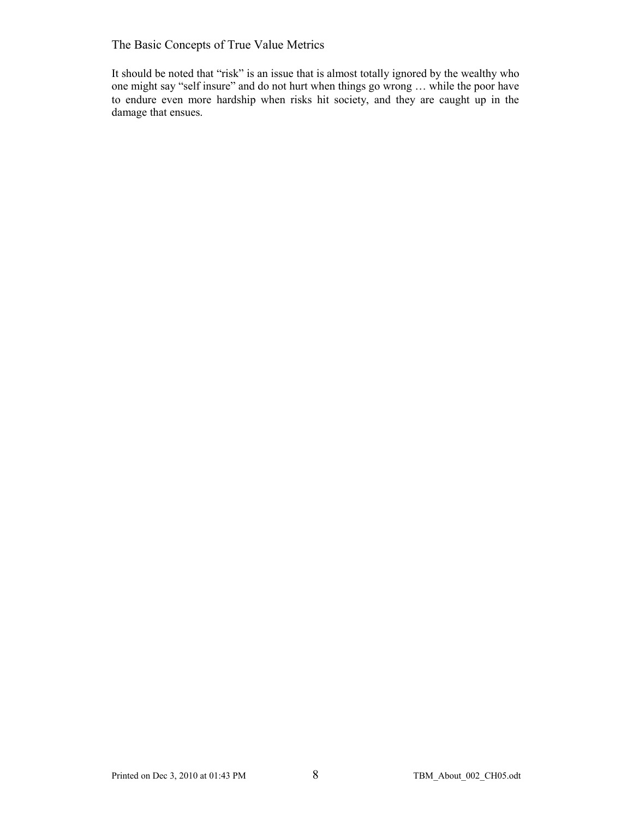The Basic Concepts of True Value Metrics

It should be noted that "risk" is an issue that is almost totally ignored by the wealthy who one might say "self insure" and do not hurt when things go wrong … while the poor have to endure even more hardship when risks hit society, and they are caught up in the damage that ensues.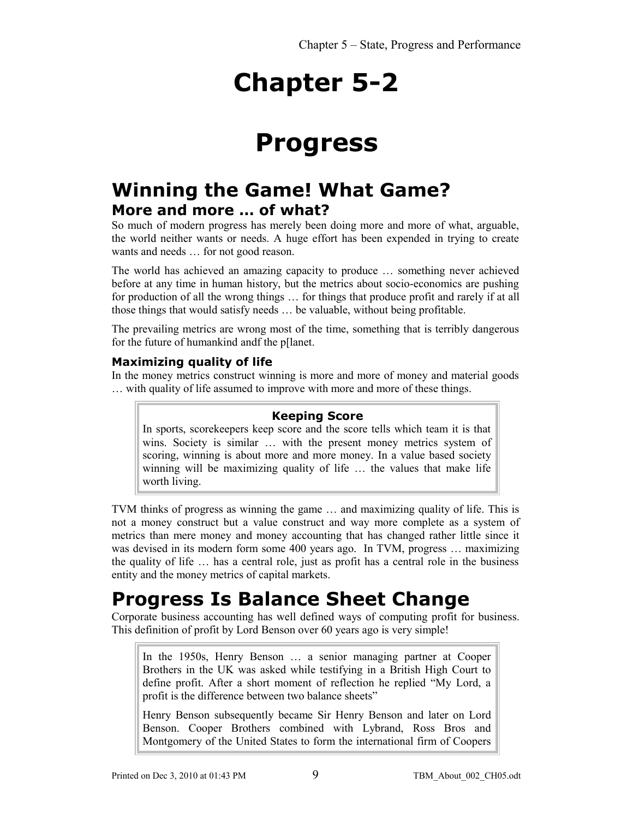## **Chapter 5-2**

## **Progress**

### **Winning the Game! What Game? More and more … of what?**

So much of modern progress has merely been doing more and more of what, arguable, the world neither wants or needs. A huge effort has been expended in trying to create wants and needs ... for not good reason.

The world has achieved an amazing capacity to produce … something never achieved before at any time in human history, but the metrics about socio-economics are pushing for production of all the wrong things … for things that produce profit and rarely if at all those things that would satisfy needs … be valuable, without being profitable.

The prevailing metrics are wrong most of the time, something that is terribly dangerous for the future of humankind andf the p[lanet.

#### **Maximizing quality of life**

In the money metrics construct winning is more and more of money and material goods … with quality of life assumed to improve with more and more of these things.

#### **Keeping Score**

In sports, scorekeepers keep score and the score tells which team it is that wins. Society is similar … with the present money metrics system of scoring, winning is about more and more money. In a value based society winning will be maximizing quality of life … the values that make life worth living.

TVM thinks of progress as winning the game … and maximizing quality of life. This is not a money construct but a value construct and way more complete as a system of metrics than mere money and money accounting that has changed rather little since it was devised in its modern form some 400 years ago. In TVM, progress … maximizing the quality of life … has a central role, just as profit has a central role in the business entity and the money metrics of capital markets.

### **Progress Is Balance Sheet Change**

Corporate business accounting has well defined ways of computing profit for business. This definition of profit by Lord Benson over 60 years ago is very simple!

In the 1950s, Henry Benson … a senior managing partner at Cooper Brothers in the UK was asked while testifying in a British High Court to define profit. After a short moment of reflection he replied "My Lord, a profit is the difference between two balance sheets"

Henry Benson subsequently became Sir Henry Benson and later on Lord Benson. Cooper Brothers combined with Lybrand, Ross Bros and Montgomery of the United States to form the international firm of Coopers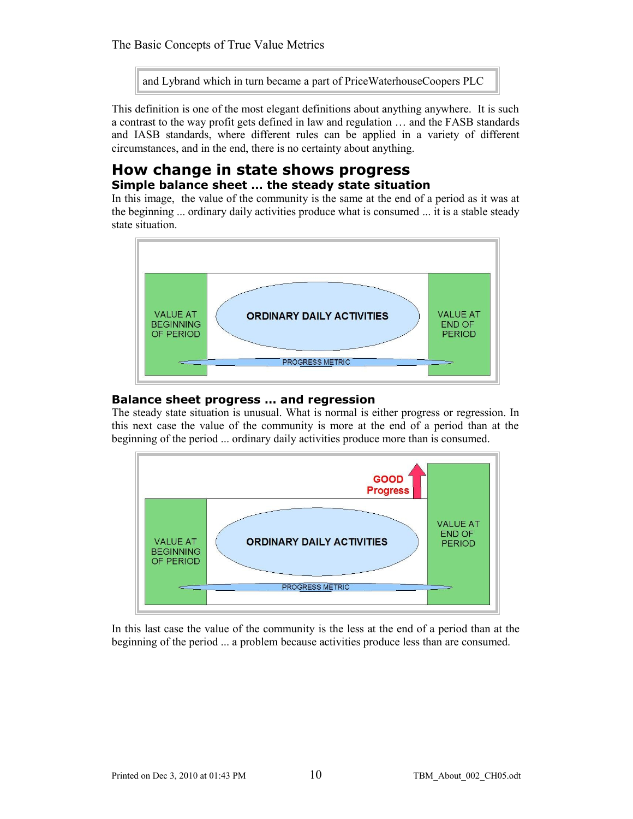and Lybrand which in turn became a part of PriceWaterhouseCoopers PLC

This definition is one of the most elegant definitions about anything anywhere. It is such a contrast to the way profit gets defined in law and regulation … and the FASB standards and IASB standards, where different rules can be applied in a variety of different circumstances, and in the end, there is no certainty about anything.

#### **How change in state shows progress Simple balance sheet … the steady state situation**

In this image, the value of the community is the same at the end of a period as it was at the beginning ... ordinary daily activities produce what is consumed ... it is a stable steady state situation.



#### **Balance sheet progress … and regression**

The steady state situation is unusual. What is normal is either progress or regression. In this next case the value of the community is more at the end of a period than at the beginning of the period ... ordinary daily activities produce more than is consumed.



In this last case the value of the community is the less at the end of a period than at the beginning of the period ... a problem because activities produce less than are consumed.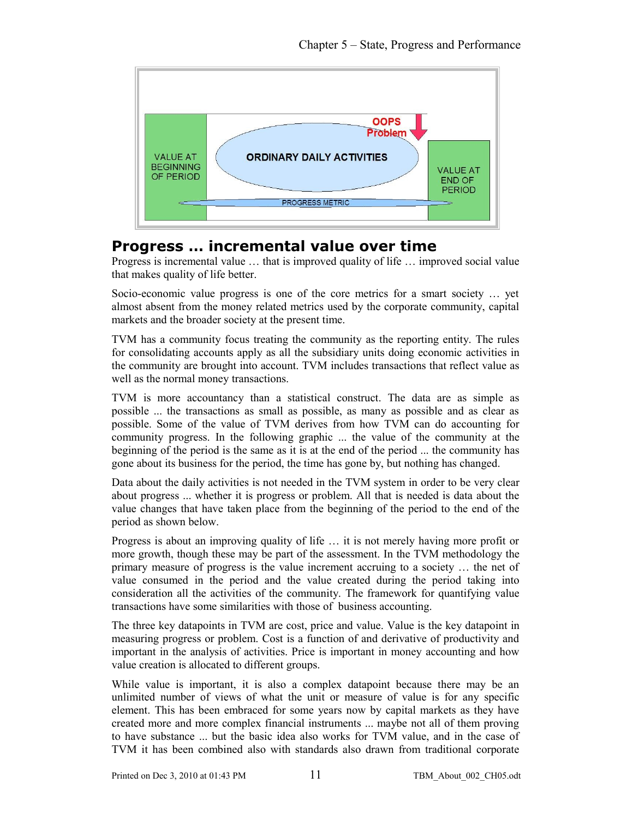

### **Progress … incremental value over time**

Progress is incremental value … that is improved quality of life … improved social value that makes quality of life better.

Socio-economic value progress is one of the core metrics for a smart society … yet almost absent from the money related metrics used by the corporate community, capital markets and the broader society at the present time.

TVM has a community focus treating the community as the reporting entity. The rules for consolidating accounts apply as all the subsidiary units doing economic activities in the community are brought into account. TVM includes transactions that reflect value as well as the normal money transactions.

TVM is more accountancy than a statistical construct. The data are as simple as possible ... the transactions as small as possible, as many as possible and as clear as possible. Some of the value of TVM derives from how TVM can do accounting for community progress. In the following graphic ... the value of the community at the beginning of the period is the same as it is at the end of the period ... the community has gone about its business for the period, the time has gone by, but nothing has changed.

Data about the daily activities is not needed in the TVM system in order to be very clear about progress ... whether it is progress or problem. All that is needed is data about the value changes that have taken place from the beginning of the period to the end of the period as shown below.

Progress is about an improving quality of life … it is not merely having more profit or more growth, though these may be part of the assessment. In the TVM methodology the primary measure of progress is the value increment accruing to a society … the net of value consumed in the period and the value created during the period taking into consideration all the activities of the community. The framework for quantifying value transactions have some similarities with those of business accounting.

The three key datapoints in TVM are cost, price and value. Value is the key datapoint in measuring progress or problem. Cost is a function of and derivative of productivity and important in the analysis of activities. Price is important in money accounting and how value creation is allocated to different groups.

While value is important, it is also a complex datapoint because there may be an unlimited number of views of what the unit or measure of value is for any specific element. This has been embraced for some years now by capital markets as they have created more and more complex financial instruments ... maybe not all of them proving to have substance ... but the basic idea also works for TVM value, and in the case of TVM it has been combined also with standards also drawn from traditional corporate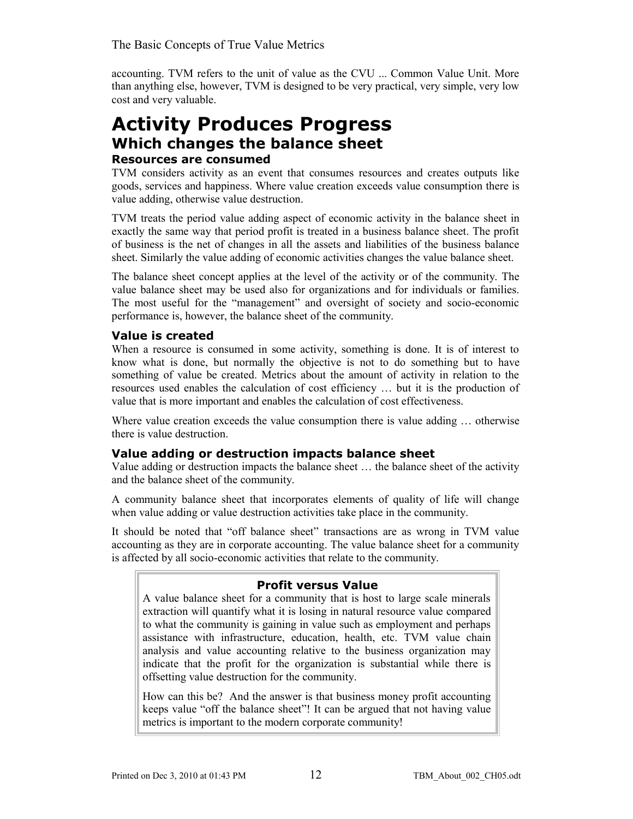The Basic Concepts of True Value Metrics

accounting. TVM refers to the unit of value as the CVU ... Common Value Unit. More than anything else, however, TVM is designed to be very practical, very simple, very low cost and very valuable.

### **Activity Produces Progress Which changes the balance sheet Resources are consumed**

TVM considers activity as an event that consumes resources and creates outputs like goods, services and happiness. Where value creation exceeds value consumption there is value adding, otherwise value destruction.

TVM treats the period value adding aspect of economic activity in the balance sheet in exactly the same way that period profit is treated in a business balance sheet. The profit of business is the net of changes in all the assets and liabilities of the business balance sheet. Similarly the value adding of economic activities changes the value balance sheet.

The balance sheet concept applies at the level of the activity or of the community. The value balance sheet may be used also for organizations and for individuals or families. The most useful for the "management" and oversight of society and socio-economic performance is, however, the balance sheet of the community.

#### **Value is created**

When a resource is consumed in some activity, something is done. It is of interest to know what is done, but normally the objective is not to do something but to have something of value be created. Metrics about the amount of activity in relation to the resources used enables the calculation of cost efficiency … but it is the production of value that is more important and enables the calculation of cost effectiveness.

Where value creation exceeds the value consumption there is value adding … otherwise there is value destruction.

#### **Value adding or destruction impacts balance sheet**

Value adding or destruction impacts the balance sheet … the balance sheet of the activity and the balance sheet of the community.

A community balance sheet that incorporates elements of quality of life will change when value adding or value destruction activities take place in the community.

It should be noted that "off balance sheet" transactions are as wrong in TVM value accounting as they are in corporate accounting. The value balance sheet for a community is affected by all socio-economic activities that relate to the community.

#### **Profit versus Value**

A value balance sheet for a community that is host to large scale minerals extraction will quantify what it is losing in natural resource value compared to what the community is gaining in value such as employment and perhaps assistance with infrastructure, education, health, etc. TVM value chain analysis and value accounting relative to the business organization may indicate that the profit for the organization is substantial while there is offsetting value destruction for the community.

How can this be? And the answer is that business money profit accounting keeps value "off the balance sheet"! It can be argued that not having value metrics is important to the modern corporate community!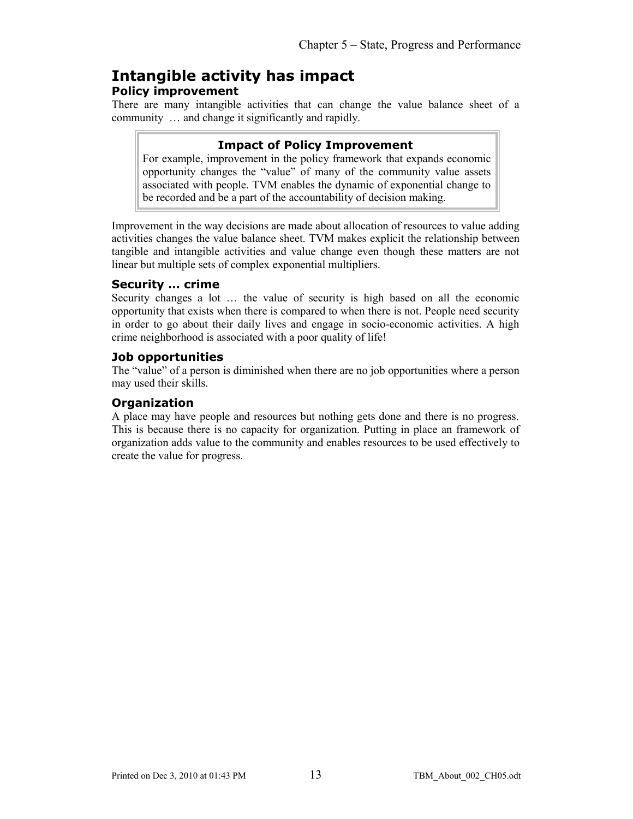#### **Intangible activity has impact Policy improvement**

There are many intangible activities that can change the value balance sheet of a community … and change it significantly and rapidly.

#### **Impact of Policy Improvement**

For example, improvement in the policy framework that expands economic opportunity changes the "value" of many of the community value assets associated with people. TVM enables the dynamic of exponential change to be recorded and be a part of the accountability of decision making.

Improvement in the way decisions are made about allocation of resources to value adding activities changes the value balance sheet. TVM makes explicit the relationship between tangible and intangible activities and value change even though these matters are not linear but multiple sets of complex exponential multipliers.

#### **Security … crime**

Security changes a lot … the value of security is high based on all the economic opportunity that exists when there is compared to when there is not. People need security in order to go about their daily lives and engage in socio-economic activities. A high crime neighborhood is associated with a poor quality of life!

#### **Job opportunities**

The "value" of a person is diminished when there are no job opportunities where a person may used their skills.

#### **Organization**

A place may have people and resources but nothing gets done and there is no progress. This is because there is no capacity for organization. Putting in place an framework of organization adds value to the community and enables resources to be used effectively to create the value for progress.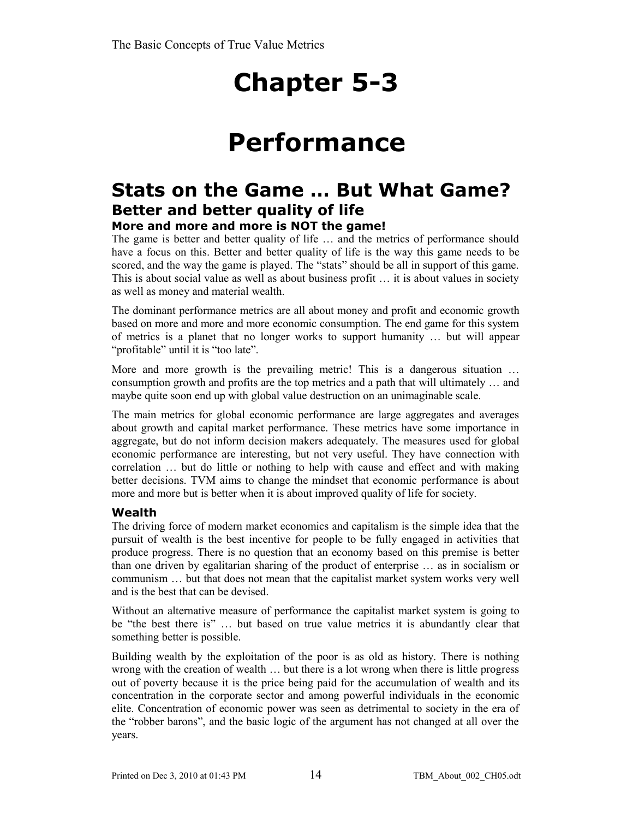## **Chapter 5-3**

## **Performance**

### **Stats on the Game … But What Game? Better and better quality of life More and more and more is NOT the game!**

The game is better and better quality of life … and the metrics of performance should have a focus on this. Better and better quality of life is the way this game needs to be scored, and the way the game is played. The "stats" should be all in support of this game. This is about social value as well as about business profit … it is about values in society as well as money and material wealth.

The dominant performance metrics are all about money and profit and economic growth based on more and more and more economic consumption. The end game for this system of metrics is a planet that no longer works to support humanity … but will appear "profitable" until it is "too late".

More and more growth is the prevailing metric! This is a dangerous situation … consumption growth and profits are the top metrics and a path that will ultimately … and maybe quite soon end up with global value destruction on an unimaginable scale.

The main metrics for global economic performance are large aggregates and averages about growth and capital market performance. These metrics have some importance in aggregate, but do not inform decision makers adequately. The measures used for global economic performance are interesting, but not very useful. They have connection with correlation … but do little or nothing to help with cause and effect and with making better decisions. TVM aims to change the mindset that economic performance is about more and more but is better when it is about improved quality of life for society.

#### **Wealth**

The driving force of modern market economics and capitalism is the simple idea that the pursuit of wealth is the best incentive for people to be fully engaged in activities that produce progress. There is no question that an economy based on this premise is better than one driven by egalitarian sharing of the product of enterprise … as in socialism or communism … but that does not mean that the capitalist market system works very well and is the best that can be devised.

Without an alternative measure of performance the capitalist market system is going to be "the best there is" … but based on true value metrics it is abundantly clear that something better is possible.

Building wealth by the exploitation of the poor is as old as history. There is nothing wrong with the creation of wealth … but there is a lot wrong when there is little progress out of poverty because it is the price being paid for the accumulation of wealth and its concentration in the corporate sector and among powerful individuals in the economic elite. Concentration of economic power was seen as detrimental to society in the era of the "robber barons", and the basic logic of the argument has not changed at all over the years.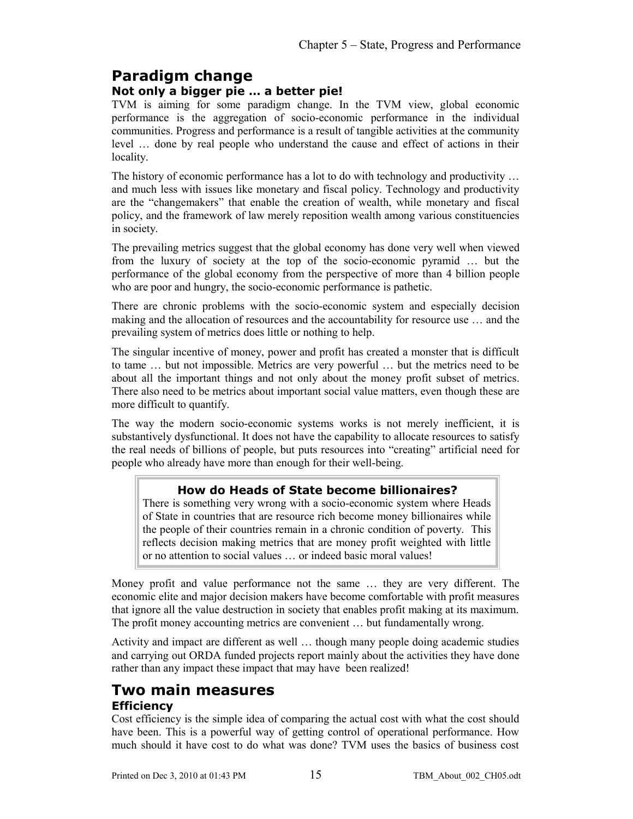### **Paradigm change**

#### **Not only a bigger pie … a better pie!**

TVM is aiming for some paradigm change. In the TVM view, global economic performance is the aggregation of socio-economic performance in the individual communities. Progress and performance is a result of tangible activities at the community level … done by real people who understand the cause and effect of actions in their locality.

The history of economic performance has a lot to do with technology and productivity … and much less with issues like monetary and fiscal policy. Technology and productivity are the "changemakers" that enable the creation of wealth, while monetary and fiscal policy, and the framework of law merely reposition wealth among various constituencies in society.

The prevailing metrics suggest that the global economy has done very well when viewed from the luxury of society at the top of the socio-economic pyramid … but the performance of the global economy from the perspective of more than 4 billion people who are poor and hungry, the socio-economic performance is pathetic.

There are chronic problems with the socio-economic system and especially decision making and the allocation of resources and the accountability for resource use … and the prevailing system of metrics does little or nothing to help.

The singular incentive of money, power and profit has created a monster that is difficult to tame … but not impossible. Metrics are very powerful … but the metrics need to be about all the important things and not only about the money profit subset of metrics. There also need to be metrics about important social value matters, even though these are more difficult to quantify.

The way the modern socio-economic systems works is not merely inefficient, it is substantively dysfunctional. It does not have the capability to allocate resources to satisfy the real needs of billions of people, but puts resources into "creating" artificial need for people who already have more than enough for their well-being.

#### **How do Heads of State become billionaires?**

There is something very wrong with a socio-economic system where Heads of State in countries that are resource rich become money billionaires while the people of their countries remain in a chronic condition of poverty. This reflects decision making metrics that are money profit weighted with little or no attention to social values … or indeed basic moral values!

Money profit and value performance not the same … they are very different. The economic elite and major decision makers have become comfortable with profit measures that ignore all the value destruction in society that enables profit making at its maximum. The profit money accounting metrics are convenient … but fundamentally wrong.

Activity and impact are different as well … though many people doing academic studies and carrying out ORDA funded projects report mainly about the activities they have done rather than any impact these impact that may have been realized!

#### **Two main measures Efficiency**

Cost efficiency is the simple idea of comparing the actual cost with what the cost should have been. This is a powerful way of getting control of operational performance. How much should it have cost to do what was done? TVM uses the basics of business cost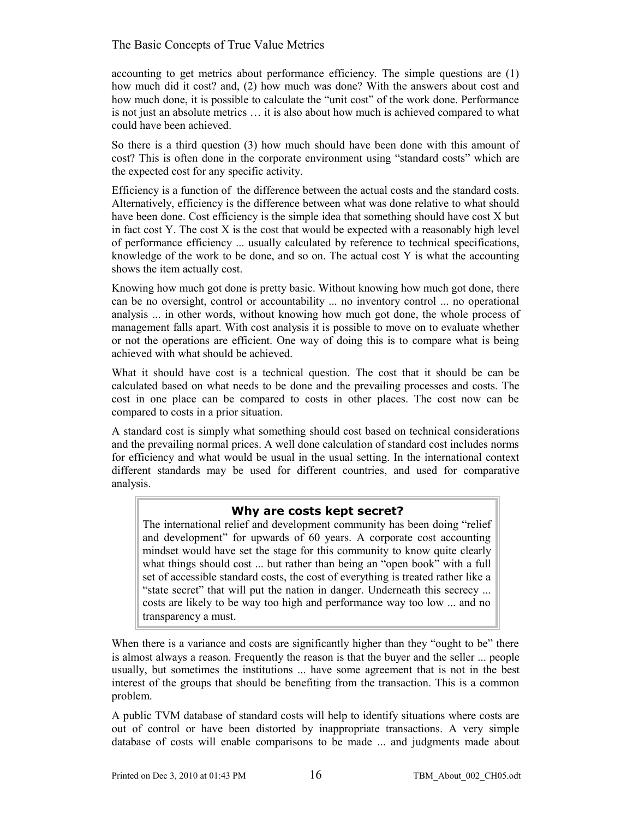#### The Basic Concepts of True Value Metrics

accounting to get metrics about performance efficiency. The simple questions are (1) how much did it cost? and, (2) how much was done? With the answers about cost and how much done, it is possible to calculate the "unit cost" of the work done. Performance is not just an absolute metrics … it is also about how much is achieved compared to what could have been achieved.

So there is a third question (3) how much should have been done with this amount of cost? This is often done in the corporate environment using "standard costs" which are the expected cost for any specific activity.

Efficiency is a function of the difference between the actual costs and the standard costs. Alternatively, efficiency is the difference between what was done relative to what should have been done. Cost efficiency is the simple idea that something should have cost X but in fact cost Y. The cost X is the cost that would be expected with a reasonably high level of performance efficiency ... usually calculated by reference to technical specifications, knowledge of the work to be done, and so on. The actual cost Y is what the accounting shows the item actually cost.

Knowing how much got done is pretty basic. Without knowing how much got done, there can be no oversight, control or accountability ... no inventory control ... no operational analysis ... in other words, without knowing how much got done, the whole process of management falls apart. With cost analysis it is possible to move on to evaluate whether or not the operations are efficient. One way of doing this is to compare what is being achieved with what should be achieved.

What it should have cost is a technical question. The cost that it should be can be calculated based on what needs to be done and the prevailing processes and costs. The cost in one place can be compared to costs in other places. The cost now can be compared to costs in a prior situation.

A standard cost is simply what something should cost based on technical considerations and the prevailing normal prices. A well done calculation of standard cost includes norms for efficiency and what would be usual in the usual setting. In the international context different standards may be used for different countries, and used for comparative analysis.

#### **Why are costs kept secret?**

The international relief and development community has been doing "relief and development" for upwards of 60 years. A corporate cost accounting mindset would have set the stage for this community to know quite clearly what things should cost ... but rather than being an "open book" with a full set of accessible standard costs, the cost of everything is treated rather like a "state secret" that will put the nation in danger. Underneath this secrecy ... costs are likely to be way too high and performance way too low ... and no transparency a must.

When there is a variance and costs are significantly higher than they "ought to be" there is almost always a reason. Frequently the reason is that the buyer and the seller ... people usually, but sometimes the institutions ... have some agreement that is not in the best interest of the groups that should be benefiting from the transaction. This is a common problem.

A public TVM database of standard costs will help to identify situations where costs are out of control or have been distorted by inappropriate transactions. A very simple database of costs will enable comparisons to be made ... and judgments made about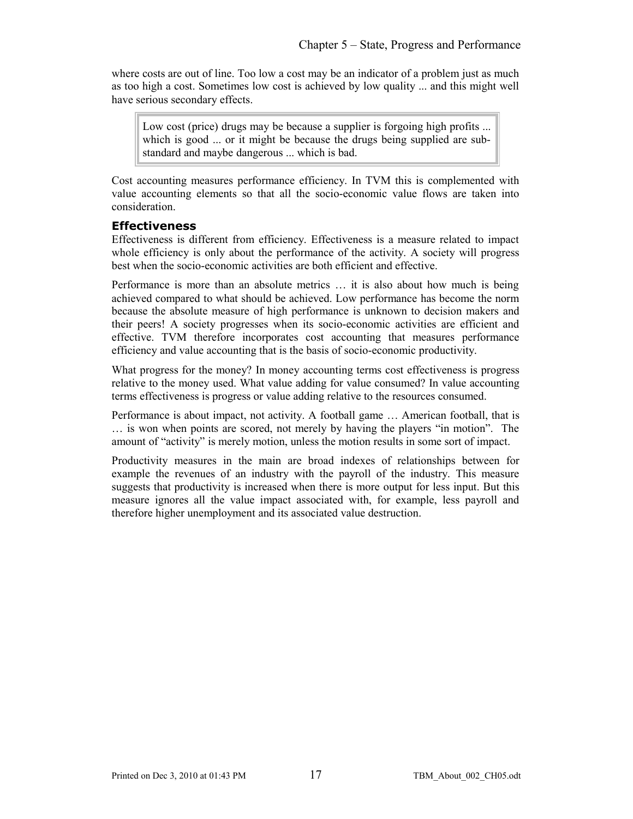where costs are out of line. Too low a cost may be an indicator of a problem just as much as too high a cost. Sometimes low cost is achieved by low quality ... and this might well have serious secondary effects.

Low cost (price) drugs may be because a supplier is forgoing high profits ... which is good ... or it might be because the drugs being supplied are substandard and maybe dangerous ... which is bad.

Cost accounting measures performance efficiency. In TVM this is complemented with value accounting elements so that all the socio-economic value flows are taken into consideration.

#### **Effectiveness**

Effectiveness is different from efficiency. Effectiveness is a measure related to impact whole efficiency is only about the performance of the activity. A society will progress best when the socio-economic activities are both efficient and effective.

Performance is more than an absolute metrics … it is also about how much is being achieved compared to what should be achieved. Low performance has become the norm because the absolute measure of high performance is unknown to decision makers and their peers! A society progresses when its socio-economic activities are efficient and effective. TVM therefore incorporates cost accounting that measures performance efficiency and value accounting that is the basis of socio-economic productivity.

What progress for the money? In money accounting terms cost effectiveness is progress relative to the money used. What value adding for value consumed? In value accounting terms effectiveness is progress or value adding relative to the resources consumed.

Performance is about impact, not activity. A football game … American football, that is … is won when points are scored, not merely by having the players "in motion". The amount of "activity" is merely motion, unless the motion results in some sort of impact.

Productivity measures in the main are broad indexes of relationships between for example the revenues of an industry with the payroll of the industry. This measure suggests that productivity is increased when there is more output for less input. But this measure ignores all the value impact associated with, for example, less payroll and therefore higher unemployment and its associated value destruction.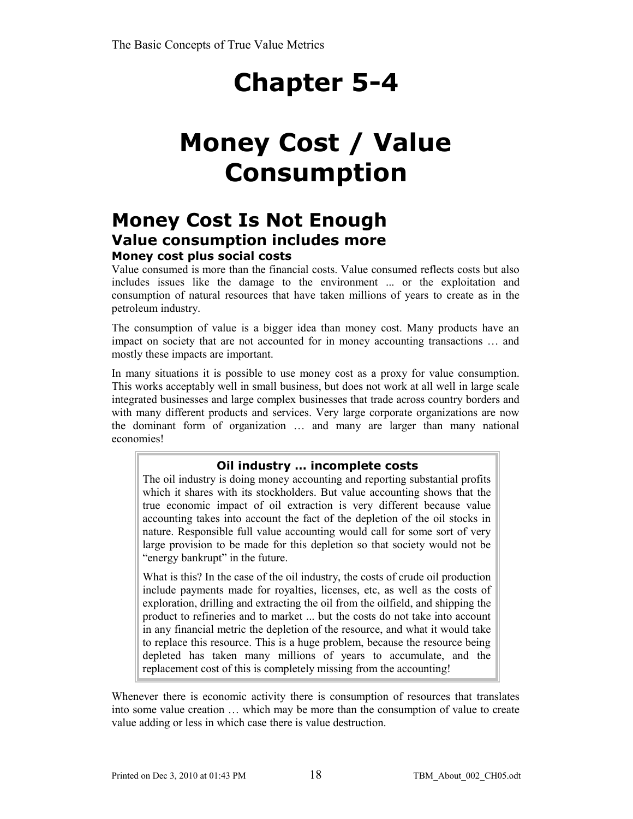## **Chapter 5-4**

## **Money Cost / Value Consumption**

## **Money Cost Is Not Enough Value consumption includes more**

#### **Money cost plus social costs**

Value consumed is more than the financial costs. Value consumed reflects costs but also includes issues like the damage to the environment ... or the exploitation and consumption of natural resources that have taken millions of years to create as in the petroleum industry.

The consumption of value is a bigger idea than money cost. Many products have an impact on society that are not accounted for in money accounting transactions … and mostly these impacts are important.

In many situations it is possible to use money cost as a proxy for value consumption. This works acceptably well in small business, but does not work at all well in large scale integrated businesses and large complex businesses that trade across country borders and with many different products and services. Very large corporate organizations are now the dominant form of organization … and many are larger than many national economies!

#### **Oil industry … incomplete costs**

The oil industry is doing money accounting and reporting substantial profits which it shares with its stockholders. But value accounting shows that the true economic impact of oil extraction is very different because value accounting takes into account the fact of the depletion of the oil stocks in nature. Responsible full value accounting would call for some sort of very large provision to be made for this depletion so that society would not be "energy bankrupt" in the future.

What is this? In the case of the oil industry, the costs of crude oil production include payments made for royalties, licenses, etc, as well as the costs of exploration, drilling and extracting the oil from the oilfield, and shipping the product to refineries and to market ... but the costs do not take into account in any financial metric the depletion of the resource, and what it would take to replace this resource. This is a huge problem, because the resource being depleted has taken many millions of years to accumulate, and the replacement cost of this is completely missing from the accounting!

Whenever there is economic activity there is consumption of resources that translates into some value creation … which may be more than the consumption of value to create value adding or less in which case there is value destruction.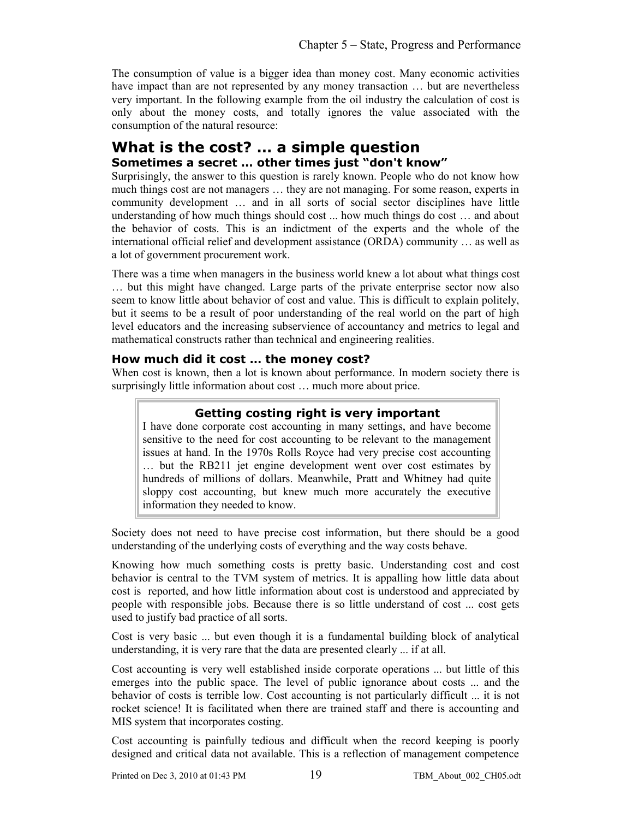The consumption of value is a bigger idea than money cost. Many economic activities have impact than are not represented by any money transaction ... but are nevertheless very important. In the following example from the oil industry the calculation of cost is only about the money costs, and totally ignores the value associated with the consumption of the natural resource:

#### **What is the cost? … a simple question Sometimes a secret … other times just "don't know"**

Surprisingly, the answer to this question is rarely known. People who do not know how much things cost are not managers … they are not managing. For some reason, experts in community development … and in all sorts of social sector disciplines have little understanding of how much things should cost ... how much things do cost … and about the behavior of costs. This is an indictment of the experts and the whole of the international official relief and development assistance (ORDA) community … as well as a lot of government procurement work.

There was a time when managers in the business world knew a lot about what things cost … but this might have changed. Large parts of the private enterprise sector now also seem to know little about behavior of cost and value. This is difficult to explain politely, but it seems to be a result of poor understanding of the real world on the part of high level educators and the increasing subservience of accountancy and metrics to legal and mathematical constructs rather than technical and engineering realities.

#### **How much did it cost … the money cost?**

When cost is known, then a lot is known about performance. In modern society there is surprisingly little information about cost … much more about price.

#### **Getting costing right is very important**

I have done corporate cost accounting in many settings, and have become sensitive to the need for cost accounting to be relevant to the management issues at hand. In the 1970s Rolls Royce had very precise cost accounting … but the RB211 jet engine development went over cost estimates by hundreds of millions of dollars. Meanwhile, Pratt and Whitney had quite sloppy cost accounting, but knew much more accurately the executive information they needed to know.

Society does not need to have precise cost information, but there should be a good understanding of the underlying costs of everything and the way costs behave.

Knowing how much something costs is pretty basic. Understanding cost and cost behavior is central to the TVM system of metrics. It is appalling how little data about cost is reported, and how little information about cost is understood and appreciated by people with responsible jobs. Because there is so little understand of cost ... cost gets used to justify bad practice of all sorts.

Cost is very basic ... but even though it is a fundamental building block of analytical understanding, it is very rare that the data are presented clearly ... if at all.

Cost accounting is very well established inside corporate operations ... but little of this emerges into the public space. The level of public ignorance about costs ... and the behavior of costs is terrible low. Cost accounting is not particularly difficult ... it is not rocket science! It is facilitated when there are trained staff and there is accounting and MIS system that incorporates costing.

Cost accounting is painfully tedious and difficult when the record keeping is poorly designed and critical data not available. This is a reflection of management competence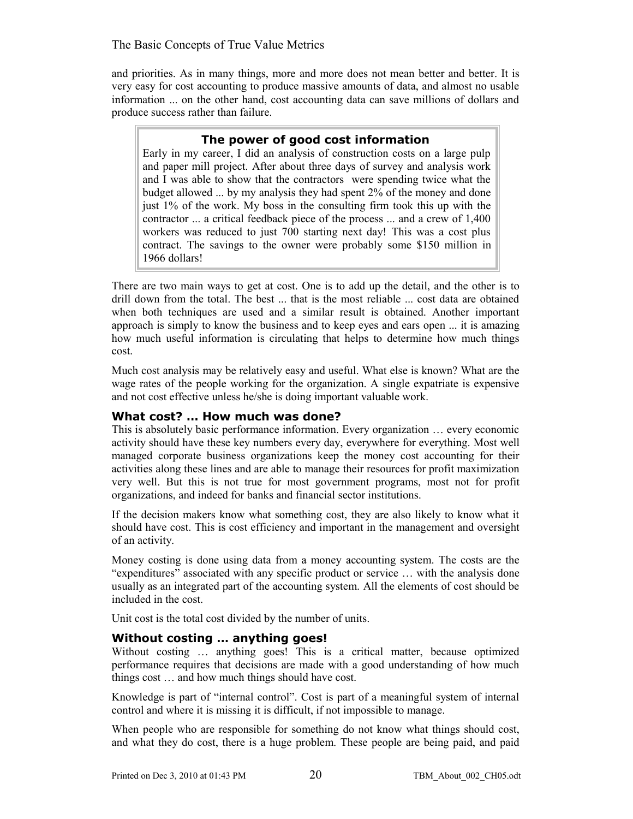#### The Basic Concepts of True Value Metrics

and priorities. As in many things, more and more does not mean better and better. It is very easy for cost accounting to produce massive amounts of data, and almost no usable information ... on the other hand, cost accounting data can save millions of dollars and produce success rather than failure.

#### **The power of good cost information**

Early in my career, I did an analysis of construction costs on a large pulp and paper mill project. After about three days of survey and analysis work and I was able to show that the contractors were spending twice what the budget allowed ... by my analysis they had spent 2% of the money and done just 1% of the work. My boss in the consulting firm took this up with the contractor ... a critical feedback piece of the process ... and a crew of 1,400 workers was reduced to just 700 starting next day! This was a cost plus contract. The savings to the owner were probably some \$150 million in 1966 dollars!

There are two main ways to get at cost. One is to add up the detail, and the other is to drill down from the total. The best ... that is the most reliable ... cost data are obtained when both techniques are used and a similar result is obtained. Another important approach is simply to know the business and to keep eyes and ears open ... it is amazing how much useful information is circulating that helps to determine how much things cost.

Much cost analysis may be relatively easy and useful. What else is known? What are the wage rates of the people working for the organization. A single expatriate is expensive and not cost effective unless he/she is doing important valuable work.

#### **What cost? … How much was done?**

This is absolutely basic performance information. Every organization … every economic activity should have these key numbers every day, everywhere for everything. Most well managed corporate business organizations keep the money cost accounting for their activities along these lines and are able to manage their resources for profit maximization very well. But this is not true for most government programs, most not for profit organizations, and indeed for banks and financial sector institutions.

If the decision makers know what something cost, they are also likely to know what it should have cost. This is cost efficiency and important in the management and oversight of an activity.

Money costing is done using data from a money accounting system. The costs are the "expenditures" associated with any specific product or service … with the analysis done usually as an integrated part of the accounting system. All the elements of cost should be included in the cost.

Unit cost is the total cost divided by the number of units.

#### **Without costing … anything goes!**

Without costing … anything goes! This is a critical matter, because optimized performance requires that decisions are made with a good understanding of how much things cost … and how much things should have cost.

Knowledge is part of "internal control". Cost is part of a meaningful system of internal control and where it is missing it is difficult, if not impossible to manage.

When people who are responsible for something do not know what things should cost, and what they do cost, there is a huge problem. These people are being paid, and paid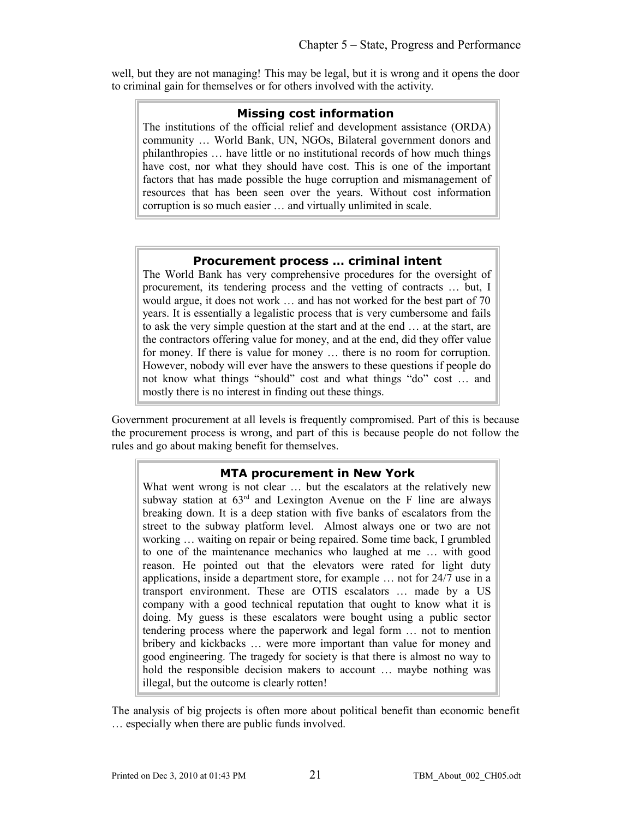well, but they are not managing! This may be legal, but it is wrong and it opens the door to criminal gain for themselves or for others involved with the activity.

#### **Missing cost information**

The institutions of the official relief and development assistance (ORDA) community … World Bank, UN, NGOs, Bilateral government donors and philanthropies … have little or no institutional records of how much things have cost, nor what they should have cost. This is one of the important factors that has made possible the huge corruption and mismanagement of resources that has been seen over the years. Without cost information corruption is so much easier … and virtually unlimited in scale.

#### **Procurement process … criminal intent**

The World Bank has very comprehensive procedures for the oversight of procurement, its tendering process and the vetting of contracts … but, I would argue, it does not work … and has not worked for the best part of 70 years. It is essentially a legalistic process that is very cumbersome and fails to ask the very simple question at the start and at the end … at the start, are the contractors offering value for money, and at the end, did they offer value for money. If there is value for money … there is no room for corruption. However, nobody will ever have the answers to these questions if people do not know what things "should" cost and what things "do" cost … and mostly there is no interest in finding out these things.

Government procurement at all levels is frequently compromised. Part of this is because the procurement process is wrong, and part of this is because people do not follow the rules and go about making benefit for themselves.

#### **MTA procurement in New York**

What went wrong is not clear ... but the escalators at the relatively new subway station at  $63<sup>rd</sup>$  and Lexington Avenue on the F line are always breaking down. It is a deep station with five banks of escalators from the street to the subway platform level. Almost always one or two are not working … waiting on repair or being repaired. Some time back, I grumbled to one of the maintenance mechanics who laughed at me … with good reason. He pointed out that the elevators were rated for light duty applications, inside a department store, for example … not for 24/7 use in a transport environment. These are OTIS escalators … made by a US company with a good technical reputation that ought to know what it is doing. My guess is these escalators were bought using a public sector tendering process where the paperwork and legal form … not to mention bribery and kickbacks … were more important than value for money and good engineering. The tragedy for society is that there is almost no way to hold the responsible decision makers to account ... maybe nothing was illegal, but the outcome is clearly rotten!

The analysis of big projects is often more about political benefit than economic benefit … especially when there are public funds involved.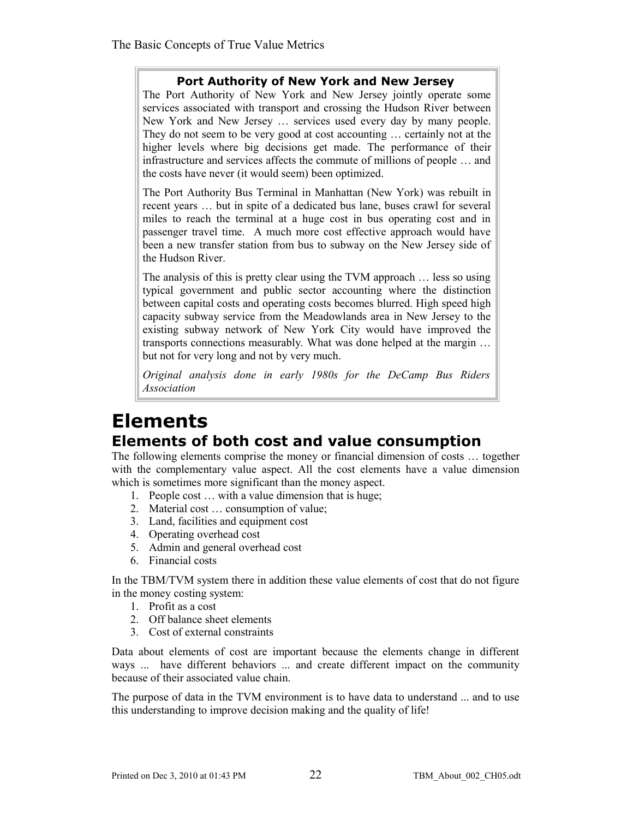#### **Port Authority of New York and New Jersey**

The Port Authority of New York and New Jersey jointly operate some services associated with transport and crossing the Hudson River between New York and New Jersey … services used every day by many people. They do not seem to be very good at cost accounting … certainly not at the higher levels where big decisions get made. The performance of their infrastructure and services affects the commute of millions of people … and the costs have never (it would seem) been optimized.

The Port Authority Bus Terminal in Manhattan (New York) was rebuilt in recent years … but in spite of a dedicated bus lane, buses crawl for several miles to reach the terminal at a huge cost in bus operating cost and in passenger travel time. A much more cost effective approach would have been a new transfer station from bus to subway on the New Jersey side of the Hudson River.

The analysis of this is pretty clear using the TVM approach … less so using typical government and public sector accounting where the distinction between capital costs and operating costs becomes blurred. High speed high capacity subway service from the Meadowlands area in New Jersey to the existing subway network of New York City would have improved the transports connections measurably. What was done helped at the margin … but not for very long and not by very much.

*Original analysis done in early 1980s for the DeCamp Bus Riders Association*

### **Elements Elements of both cost and value consumption**

The following elements comprise the money or financial dimension of costs … together with the complementary value aspect. All the cost elements have a value dimension which is sometimes more significant than the money aspect.

- 1. People cost … with a value dimension that is huge;
- 2. Material cost … consumption of value;
- 3. Land, facilities and equipment cost
- 4. Operating overhead cost
- 5. Admin and general overhead cost
- 6. Financial costs

In the TBM/TVM system there in addition these value elements of cost that do not figure in the money costing system:

- 1. Profit as a cost
- 2. Off balance sheet elements
- 3. Cost of external constraints

Data about elements of cost are important because the elements change in different ways ... have different behaviors ... and create different impact on the community because of their associated value chain.

The purpose of data in the TVM environment is to have data to understand ... and to use this understanding to improve decision making and the quality of life!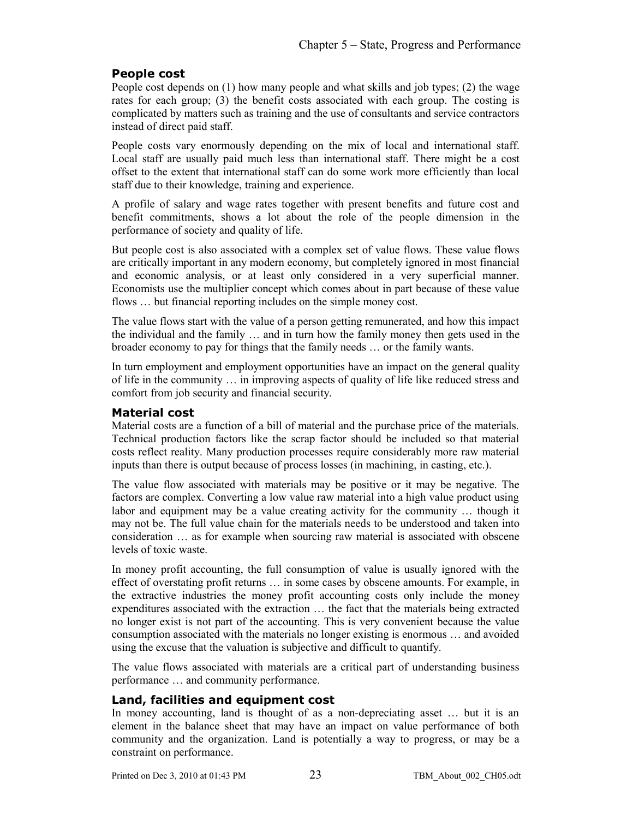#### **People cost**

People cost depends on (1) how many people and what skills and job types; (2) the wage rates for each group; (3) the benefit costs associated with each group. The costing is complicated by matters such as training and the use of consultants and service contractors instead of direct paid staff.

People costs vary enormously depending on the mix of local and international staff. Local staff are usually paid much less than international staff. There might be a cost offset to the extent that international staff can do some work more efficiently than local staff due to their knowledge, training and experience.

A profile of salary and wage rates together with present benefits and future cost and benefit commitments, shows a lot about the role of the people dimension in the performance of society and quality of life.

But people cost is also associated with a complex set of value flows. These value flows are critically important in any modern economy, but completely ignored in most financial and economic analysis, or at least only considered in a very superficial manner. Economists use the multiplier concept which comes about in part because of these value flows ... but financial reporting includes on the simple money cost.

The value flows start with the value of a person getting remunerated, and how this impact the individual and the family … and in turn how the family money then gets used in the broader economy to pay for things that the family needs … or the family wants.

In turn employment and employment opportunities have an impact on the general quality of life in the community … in improving aspects of quality of life like reduced stress and comfort from job security and financial security.

#### **Material cost**

Material costs are a function of a bill of material and the purchase price of the materials. Technical production factors like the scrap factor should be included so that material costs reflect reality. Many production processes require considerably more raw material inputs than there is output because of process losses (in machining, in casting, etc.).

The value flow associated with materials may be positive or it may be negative. The factors are complex. Converting a low value raw material into a high value product using labor and equipment may be a value creating activity for the community … though it may not be. The full value chain for the materials needs to be understood and taken into consideration … as for example when sourcing raw material is associated with obscene levels of toxic waste.

In money profit accounting, the full consumption of value is usually ignored with the effect of overstating profit returns … in some cases by obscene amounts. For example, in the extractive industries the money profit accounting costs only include the money expenditures associated with the extraction … the fact that the materials being extracted no longer exist is not part of the accounting. This is very convenient because the value consumption associated with the materials no longer existing is enormous … and avoided using the excuse that the valuation is subjective and difficult to quantify.

The value flows associated with materials are a critical part of understanding business performance … and community performance.

#### **Land, facilities and equipment cost**

In money accounting, land is thought of as a non-depreciating asset … but it is an element in the balance sheet that may have an impact on value performance of both community and the organization. Land is potentially a way to progress, or may be a constraint on performance.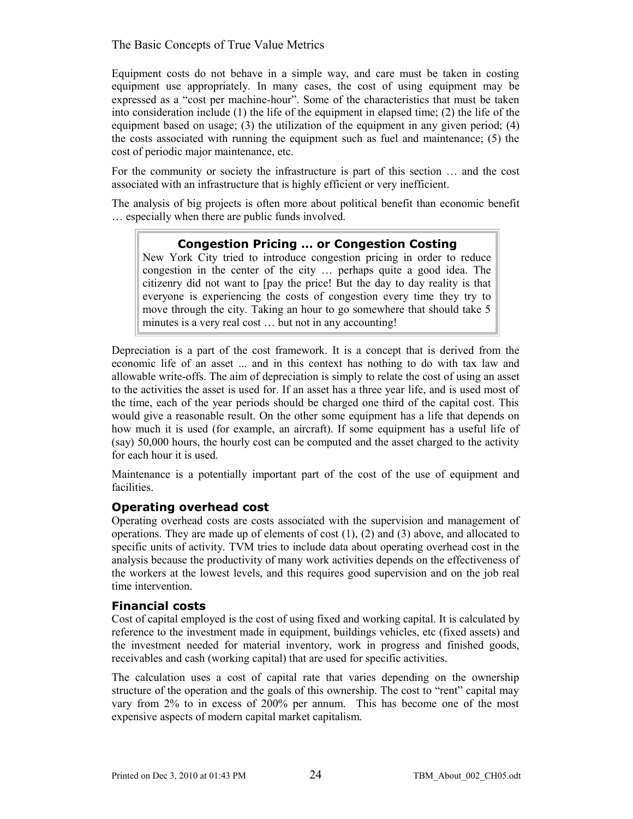Equipment costs do not behave in a simple way, and care must be taken in costing equipment use appropriately. In many cases, the cost of using equipment may be expressed as a "cost per machine-hour". Some of the characteristics that must be taken into consideration include (1) the life of the equipment in elapsed time; (2) the life of the equipment based on usage; (3) the utilization of the equipment in any given period; (4) the costs associated with running the equipment such as fuel and maintenance; (5) the cost of periodic major maintenance, etc.

For the community or society the infrastructure is part of this section … and the cost associated with an infrastructure that is highly efficient or very inefficient.

The analysis of big projects is often more about political benefit than economic benefit … especially when there are public funds involved.

#### **Congestion Pricing … or Congestion Costing**

New York City tried to introduce congestion pricing in order to reduce congestion in the center of the city … perhaps quite a good idea. The citizenry did not want to [pay the price! But the day to day reality is that everyone is experiencing the costs of congestion every time they try to move through the city. Taking an hour to go somewhere that should take 5 minutes is a very real cost … but not in any accounting!

Depreciation is a part of the cost framework. It is a concept that is derived from the economic life of an asset ... and in this context has nothing to do with tax law and allowable write-offs. The aim of depreciation is simply to relate the cost of using an asset to the activities the asset is used for. If an asset has a three year life, and is used most of the time, each of the year periods should be charged one third of the capital cost. This would give a reasonable result. On the other some equipment has a life that depends on how much it is used (for example, an aircraft). If some equipment has a useful life of (say) 50,000 hours, the hourly cost can be computed and the asset charged to the activity for each hour it is used.

Maintenance is a potentially important part of the cost of the use of equipment and facilities.

#### **Operating overhead cost**

Operating overhead costs are costs associated with the supervision and management of operations. They are made up of elements of cost  $(1)$ ,  $(2)$  and  $(3)$  above, and allocated to specific units of activity. TVM tries to include data about operating overhead cost in the analysis because the productivity of many work activities depends on the effectiveness of the workers at the lowest levels, and this requires good supervision and on the job real time intervention.

#### **Financial costs**

Cost of capital employed is the cost of using fixed and working capital. It is calculated by reference to the investment made in equipment, buildings vehicles, etc (fixed assets) and the investment needed for material inventory, work in progress and finished goods, receivables and cash (working capital) that are used for specific activities.

The calculation uses a cost of capital rate that varies depending on the ownership structure of the operation and the goals of this ownership. The cost to "rent" capital may vary from 2% to in excess of 200% per annum. This has become one of the most expensive aspects of modern capital market capitalism.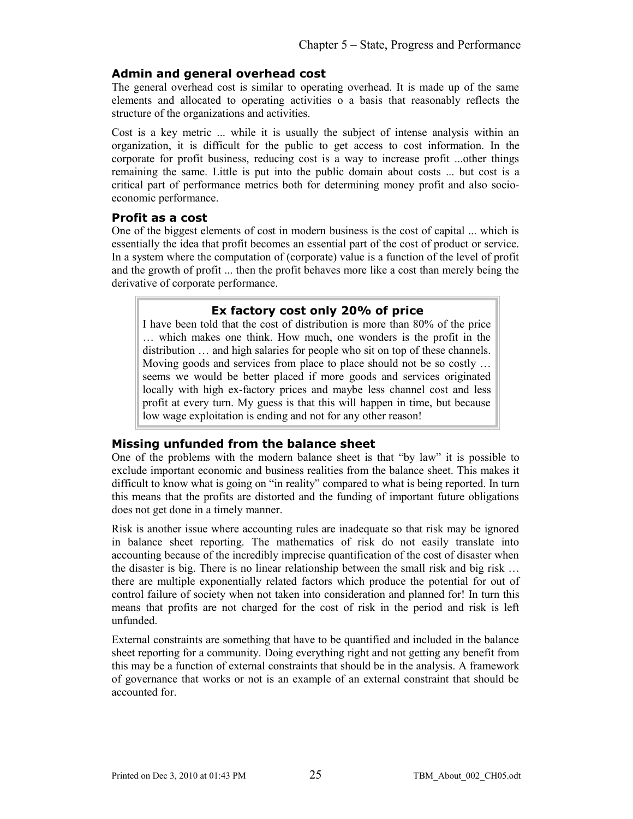#### **Admin and general overhead cost**

The general overhead cost is similar to operating overhead. It is made up of the same elements and allocated to operating activities o a basis that reasonably reflects the structure of the organizations and activities.

Cost is a key metric ... while it is usually the subject of intense analysis within an organization, it is difficult for the public to get access to cost information. In the corporate for profit business, reducing cost is a way to increase profit ...other things remaining the same. Little is put into the public domain about costs ... but cost is a critical part of performance metrics both for determining money profit and also socioeconomic performance.

#### **Profit as a cost**

One of the biggest elements of cost in modern business is the cost of capital ... which is essentially the idea that profit becomes an essential part of the cost of product or service. In a system where the computation of (corporate) value is a function of the level of profit and the growth of profit ... then the profit behaves more like a cost than merely being the derivative of corporate performance.

#### **Ex factory cost only 20% of price**

I have been told that the cost of distribution is more than 80% of the price … which makes one think. How much, one wonders is the profit in the distribution … and high salaries for people who sit on top of these channels. Moving goods and services from place to place should not be so costly … seems we would be better placed if more goods and services originated locally with high ex-factory prices and maybe less channel cost and less profit at every turn. My guess is that this will happen in time, but because low wage exploitation is ending and not for any other reason!

#### **Missing unfunded from the balance sheet**

One of the problems with the modern balance sheet is that "by law" it is possible to exclude important economic and business realities from the balance sheet. This makes it difficult to know what is going on "in reality" compared to what is being reported. In turn this means that the profits are distorted and the funding of important future obligations does not get done in a timely manner.

Risk is another issue where accounting rules are inadequate so that risk may be ignored in balance sheet reporting. The mathematics of risk do not easily translate into accounting because of the incredibly imprecise quantification of the cost of disaster when the disaster is big. There is no linear relationship between the small risk and big risk … there are multiple exponentially related factors which produce the potential for out of control failure of society when not taken into consideration and planned for! In turn this means that profits are not charged for the cost of risk in the period and risk is left unfunded.

External constraints are something that have to be quantified and included in the balance sheet reporting for a community. Doing everything right and not getting any benefit from this may be a function of external constraints that should be in the analysis. A framework of governance that works or not is an example of an external constraint that should be accounted for.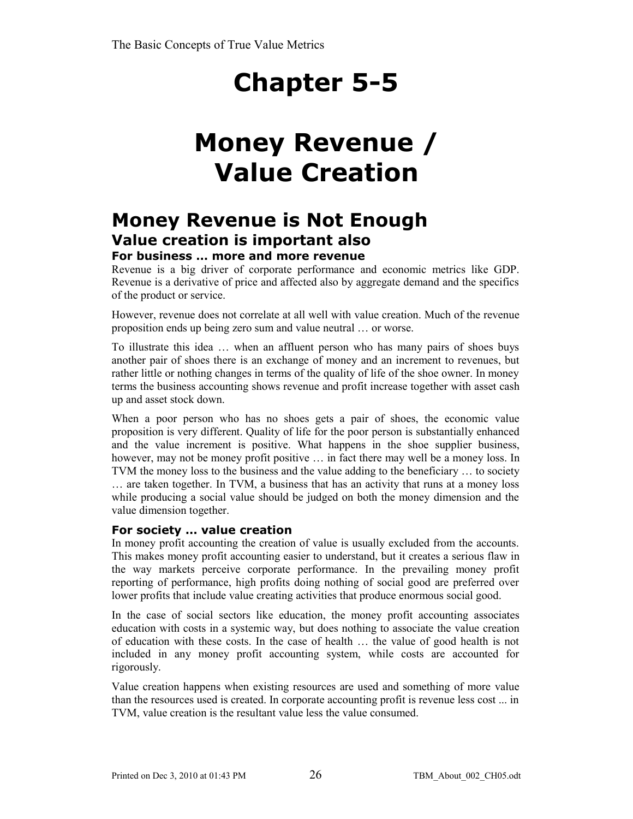## **Chapter 5-5**

## **Money Revenue / Value Creation**

## **Money Revenue is Not Enough Value creation is important also**

#### **For business … more and more revenue**

Revenue is a big driver of corporate performance and economic metrics like GDP. Revenue is a derivative of price and affected also by aggregate demand and the specifics of the product or service.

However, revenue does not correlate at all well with value creation. Much of the revenue proposition ends up being zero sum and value neutral … or worse.

To illustrate this idea … when an affluent person who has many pairs of shoes buys another pair of shoes there is an exchange of money and an increment to revenues, but rather little or nothing changes in terms of the quality of life of the shoe owner. In money terms the business accounting shows revenue and profit increase together with asset cash up and asset stock down.

When a poor person who has no shoes gets a pair of shoes, the economic value proposition is very different. Quality of life for the poor person is substantially enhanced and the value increment is positive. What happens in the shoe supplier business, however, may not be money profit positive ... in fact there may well be a money loss. In TVM the money loss to the business and the value adding to the beneficiary … to society … are taken together. In TVM, a business that has an activity that runs at a money loss while producing a social value should be judged on both the money dimension and the value dimension together.

#### **For society … value creation**

In money profit accounting the creation of value is usually excluded from the accounts. This makes money profit accounting easier to understand, but it creates a serious flaw in the way markets perceive corporate performance. In the prevailing money profit reporting of performance, high profits doing nothing of social good are preferred over lower profits that include value creating activities that produce enormous social good.

In the case of social sectors like education, the money profit accounting associates education with costs in a systemic way, but does nothing to associate the value creation of education with these costs. In the case of health … the value of good health is not included in any money profit accounting system, while costs are accounted for rigorously.

Value creation happens when existing resources are used and something of more value than the resources used is created. In corporate accounting profit is revenue less cost ... in TVM, value creation is the resultant value less the value consumed.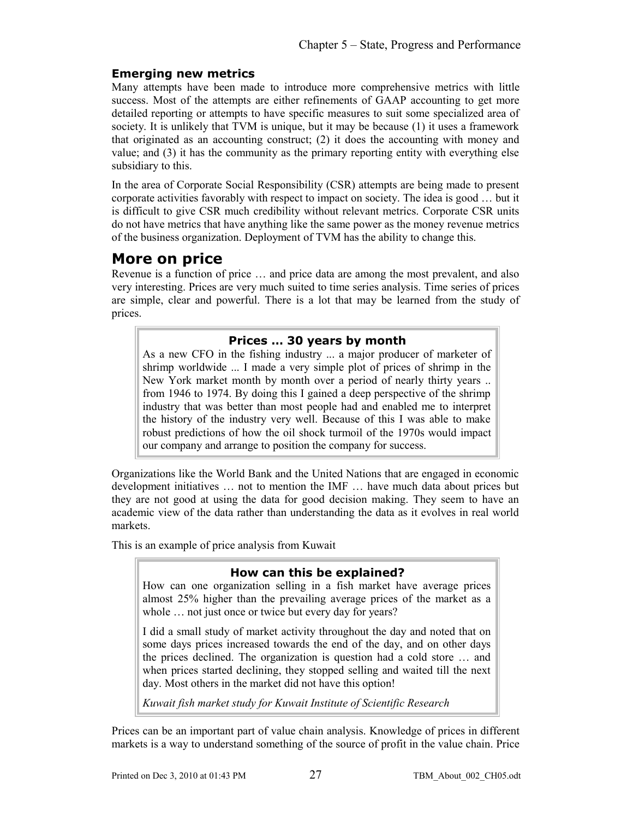#### **Emerging new metrics**

Many attempts have been made to introduce more comprehensive metrics with little success. Most of the attempts are either refinements of GAAP accounting to get more detailed reporting or attempts to have specific measures to suit some specialized area of society. It is unlikely that TVM is unique, but it may be because (1) it uses a framework that originated as an accounting construct; (2) it does the accounting with money and value; and (3) it has the community as the primary reporting entity with everything else subsidiary to this.

In the area of Corporate Social Responsibility (CSR) attempts are being made to present corporate activities favorably with respect to impact on society. The idea is good … but it is difficult to give CSR much credibility without relevant metrics. Corporate CSR units do not have metrics that have anything like the same power as the money revenue metrics of the business organization. Deployment of TVM has the ability to change this.

#### **More on price**

Revenue is a function of price … and price data are among the most prevalent, and also very interesting. Prices are very much suited to time series analysis. Time series of prices are simple, clear and powerful. There is a lot that may be learned from the study of prices.

#### **Prices … 30 years by month**

As a new CFO in the fishing industry ... a major producer of marketer of shrimp worldwide ... I made a very simple plot of prices of shrimp in the New York market month by month over a period of nearly thirty years .. from 1946 to 1974. By doing this I gained a deep perspective of the shrimp industry that was better than most people had and enabled me to interpret the history of the industry very well. Because of this I was able to make robust predictions of how the oil shock turmoil of the 1970s would impact our company and arrange to position the company for success.

Organizations like the World Bank and the United Nations that are engaged in economic development initiatives … not to mention the IMF … have much data about prices but they are not good at using the data for good decision making. They seem to have an academic view of the data rather than understanding the data as it evolves in real world markets.

This is an example of price analysis from Kuwait

#### **How can this be explained?**

How can one organization selling in a fish market have average prices almost 25% higher than the prevailing average prices of the market as a whole ... not just once or twice but every day for years?

I did a small study of market activity throughout the day and noted that on some days prices increased towards the end of the day, and on other days the prices declined. The organization is question had a cold store … and when prices started declining, they stopped selling and waited till the next day. Most others in the market did not have this option!

*Kuwait fish market study for Kuwait Institute of Scientific Research* 

Prices can be an important part of value chain analysis. Knowledge of prices in different markets is a way to understand something of the source of profit in the value chain. Price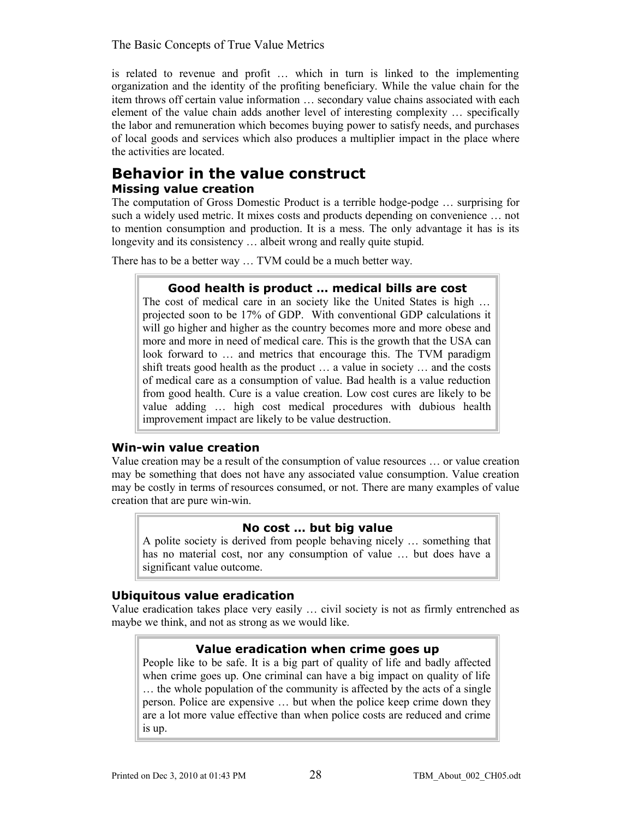The Basic Concepts of True Value Metrics

is related to revenue and profit … which in turn is linked to the implementing organization and the identity of the profiting beneficiary. While the value chain for the item throws off certain value information … secondary value chains associated with each element of the value chain adds another level of interesting complexity … specifically the labor and remuneration which becomes buying power to satisfy needs, and purchases of local goods and services which also produces a multiplier impact in the place where the activities are located.

#### **Behavior in the value construct Missing value creation**

The computation of Gross Domestic Product is a terrible hodge-podge … surprising for such a widely used metric. It mixes costs and products depending on convenience … not to mention consumption and production. It is a mess. The only advantage it has is its longevity and its consistency … albeit wrong and really quite stupid.

There has to be a better way … TVM could be a much better way.

#### **Good health is product … medical bills are cost**

The cost of medical care in an society like the United States is high … projected soon to be 17% of GDP. With conventional GDP calculations it will go higher and higher as the country becomes more and more obese and more and more in need of medical care. This is the growth that the USA can look forward to … and metrics that encourage this. The TVM paradigm shift treats good health as the product … a value in society … and the costs of medical care as a consumption of value. Bad health is a value reduction from good health. Cure is a value creation. Low cost cures are likely to be value adding … high cost medical procedures with dubious health improvement impact are likely to be value destruction.

#### **Win-win value creation**

Value creation may be a result of the consumption of value resources … or value creation may be something that does not have any associated value consumption. Value creation may be costly in terms of resources consumed, or not. There are many examples of value creation that are pure win-win.

#### **No cost … but big value**

A polite society is derived from people behaving nicely … something that has no material cost, nor any consumption of value ... but does have a significant value outcome.

#### **Ubiquitous value eradication**

Value eradication takes place very easily … civil society is not as firmly entrenched as maybe we think, and not as strong as we would like.

#### **Value eradication when crime goes up**

People like to be safe. It is a big part of quality of life and badly affected when crime goes up. One criminal can have a big impact on quality of life … the whole population of the community is affected by the acts of a single person. Police are expensive … but when the police keep crime down they are a lot more value effective than when police costs are reduced and crime is up.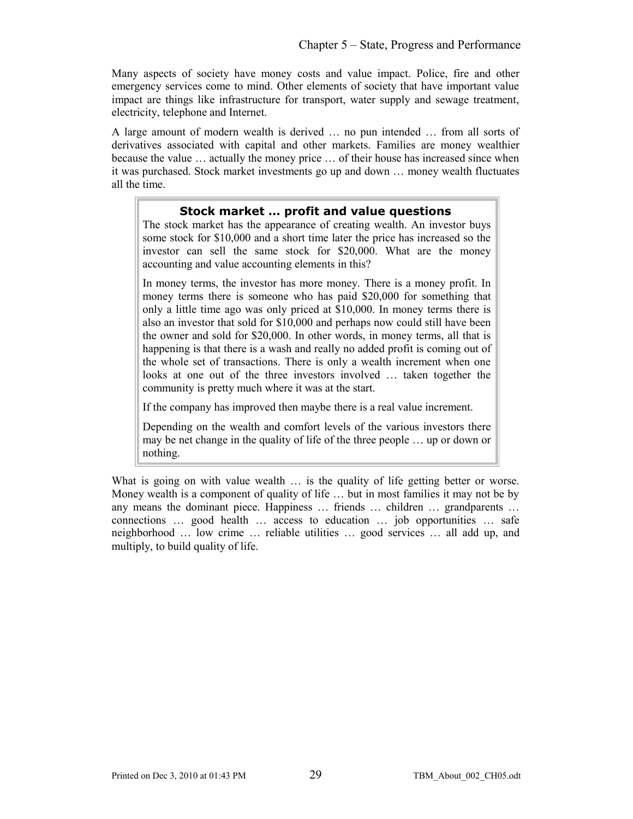Many aspects of society have money costs and value impact. Police, fire and other emergency services come to mind. Other elements of society that have important value impact are things like infrastructure for transport, water supply and sewage treatment, electricity, telephone and Internet.

A large amount of modern wealth is derived … no pun intended … from all sorts of derivatives associated with capital and other markets. Families are money wealthier because the value … actually the money price … of their house has increased since when it was purchased. Stock market investments go up and down … money wealth fluctuates all the time.

#### **Stock market … profit and value questions**

The stock market has the appearance of creating wealth. An investor buys some stock for \$10,000 and a short time later the price has increased so the investor can sell the same stock for \$20,000. What are the money accounting and value accounting elements in this?

In money terms, the investor has more money. There is a money profit. In money terms there is someone who has paid \$20,000 for something that only a little time ago was only priced at \$10,000. In money terms there is also an investor that sold for \$10,000 and perhaps now could still have been the owner and sold for \$20,000. In other words, in money terms, all that is happening is that there is a wash and really no added profit is coming out of the whole set of transactions. There is only a wealth increment when one looks at one out of the three investors involved … taken together the community is pretty much where it was at the start.

If the company has improved then maybe there is a real value increment.

Depending on the wealth and comfort levels of the various investors there may be net change in the quality of life of the three people … up or down or nothing.

What is going on with value wealth ... is the quality of life getting better or worse. Money wealth is a component of quality of life … but in most families it may not be by any means the dominant piece. Happiness … friends … children … grandparents … connections … good health … access to education … job opportunities … safe neighborhood … low crime … reliable utilities … good services … all add up, and multiply, to build quality of life.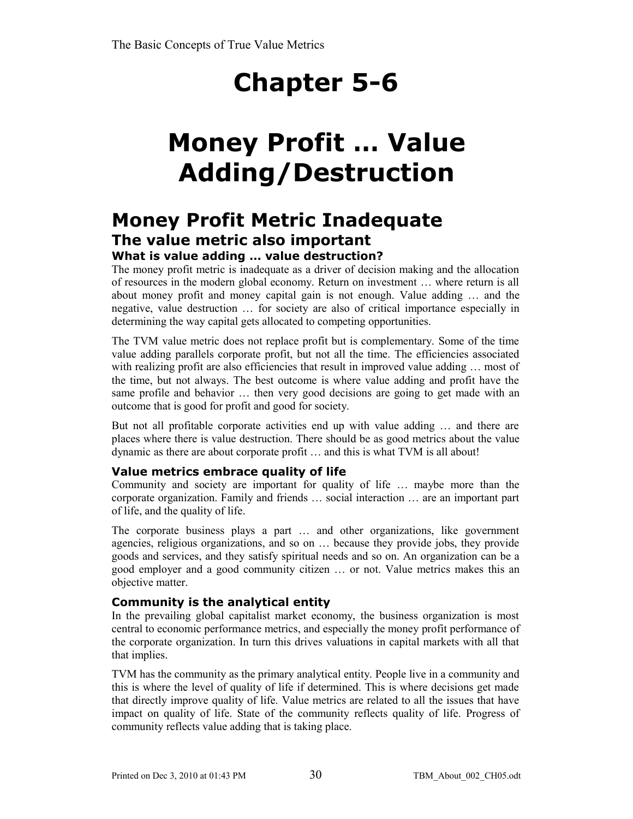## **Chapter 5-6**

## **Money Profit … Value Adding/Destruction**

## **Money Profit Metric Inadequate The value metric also important**

#### **What is value adding … value destruction?**

The money profit metric is inadequate as a driver of decision making and the allocation of resources in the modern global economy. Return on investment … where return is all about money profit and money capital gain is not enough. Value adding … and the negative, value destruction … for society are also of critical importance especially in determining the way capital gets allocated to competing opportunities.

The TVM value metric does not replace profit but is complementary. Some of the time value adding parallels corporate profit, but not all the time. The efficiencies associated with realizing profit are also efficiencies that result in improved value adding ... most of the time, but not always. The best outcome is where value adding and profit have the same profile and behavior … then very good decisions are going to get made with an outcome that is good for profit and good for society.

But not all profitable corporate activities end up with value adding … and there are places where there is value destruction. There should be as good metrics about the value dynamic as there are about corporate profit … and this is what TVM is all about!

#### **Value metrics embrace quality of life**

Community and society are important for quality of life … maybe more than the corporate organization. Family and friends … social interaction … are an important part of life, and the quality of life.

The corporate business plays a part … and other organizations, like government agencies, religious organizations, and so on … because they provide jobs, they provide goods and services, and they satisfy spiritual needs and so on. An organization can be a good employer and a good community citizen … or not. Value metrics makes this an objective matter.

#### **Community is the analytical entity**

In the prevailing global capitalist market economy, the business organization is most central to economic performance metrics, and especially the money profit performance of the corporate organization. In turn this drives valuations in capital markets with all that that implies.

TVM has the community as the primary analytical entity. People live in a community and this is where the level of quality of life if determined. This is where decisions get made that directly improve quality of life. Value metrics are related to all the issues that have impact on quality of life. State of the community reflects quality of life. Progress of community reflects value adding that is taking place.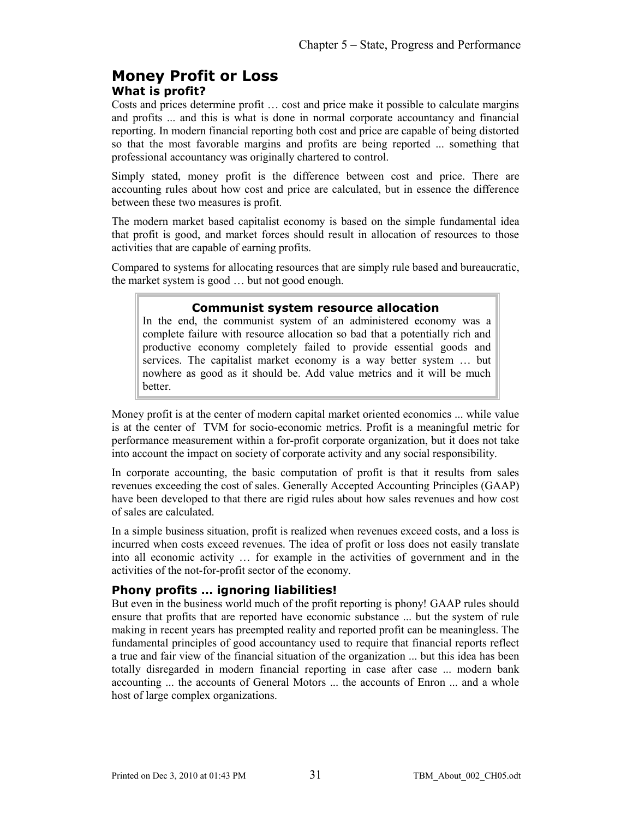### **Money Profit or Loss**

#### **What is profit?**

Costs and prices determine profit … cost and price make it possible to calculate margins and profits ... and this is what is done in normal corporate accountancy and financial reporting. In modern financial reporting both cost and price are capable of being distorted so that the most favorable margins and profits are being reported ... something that professional accountancy was originally chartered to control.

Simply stated, money profit is the difference between cost and price. There are accounting rules about how cost and price are calculated, but in essence the difference between these two measures is profit.

The modern market based capitalist economy is based on the simple fundamental idea that profit is good, and market forces should result in allocation of resources to those activities that are capable of earning profits.

Compared to systems for allocating resources that are simply rule based and bureaucratic, the market system is good … but not good enough.

#### **Communist system resource allocation**

In the end, the communist system of an administered economy was a complete failure with resource allocation so bad that a potentially rich and productive economy completely failed to provide essential goods and services. The capitalist market economy is a way better system … but nowhere as good as it should be. Add value metrics and it will be much **better** 

Money profit is at the center of modern capital market oriented economics ... while value is at the center of TVM for socio-economic metrics. Profit is a meaningful metric for performance measurement within a for-profit corporate organization, but it does not take into account the impact on society of corporate activity and any social responsibility.

In corporate accounting, the basic computation of profit is that it results from sales revenues exceeding the cost of sales. Generally Accepted Accounting Principles (GAAP) have been developed to that there are rigid rules about how sales revenues and how cost of sales are calculated.

In a simple business situation, profit is realized when revenues exceed costs, and a loss is incurred when costs exceed revenues. The idea of profit or loss does not easily translate into all economic activity … for example in the activities of government and in the activities of the not-for-profit sector of the economy.

#### **Phony profits … ignoring liabilities!**

But even in the business world much of the profit reporting is phony! GAAP rules should ensure that profits that are reported have economic substance ... but the system of rule making in recent years has preempted reality and reported profit can be meaningless. The fundamental principles of good accountancy used to require that financial reports reflect a true and fair view of the financial situation of the organization ... but this idea has been totally disregarded in modern financial reporting in case after case ... modern bank accounting ... the accounts of General Motors ... the accounts of Enron ... and a whole host of large complex organizations.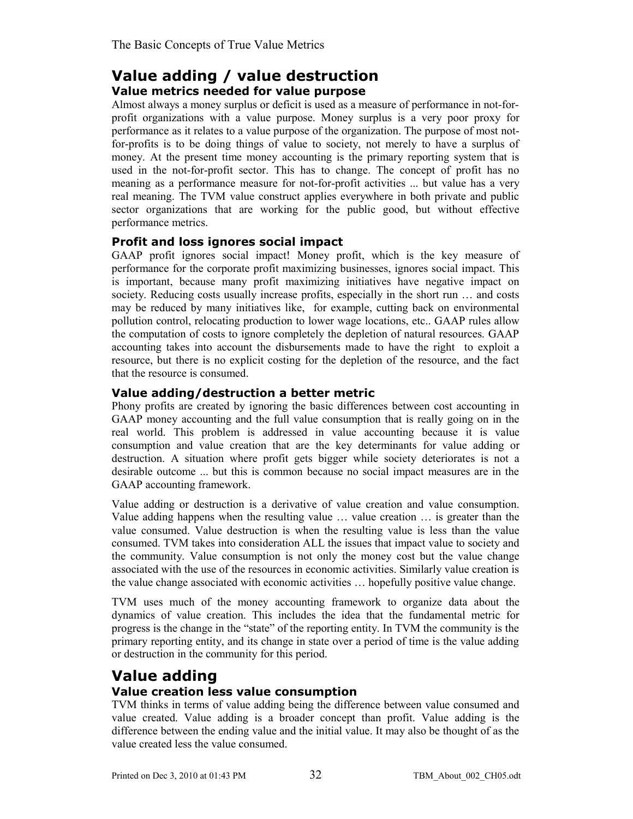### **Value adding / value destruction**

#### **Value metrics needed for value purpose**

Almost always a money surplus or deficit is used as a measure of performance in not-forprofit organizations with a value purpose. Money surplus is a very poor proxy for performance as it relates to a value purpose of the organization. The purpose of most notfor-profits is to be doing things of value to society, not merely to have a surplus of money. At the present time money accounting is the primary reporting system that is used in the not-for-profit sector. This has to change. The concept of profit has no meaning as a performance measure for not-for-profit activities ... but value has a very real meaning. The TVM value construct applies everywhere in both private and public sector organizations that are working for the public good, but without effective performance metrics.

#### **Profit and loss ignores social impact**

GAAP profit ignores social impact! Money profit, which is the key measure of performance for the corporate profit maximizing businesses, ignores social impact. This is important, because many profit maximizing initiatives have negative impact on society. Reducing costs usually increase profits, especially in the short run … and costs may be reduced by many initiatives like, for example, cutting back on environmental pollution control, relocating production to lower wage locations, etc.. GAAP rules allow the computation of costs to ignore completely the depletion of natural resources. GAAP accounting takes into account the disbursements made to have the right to exploit a resource, but there is no explicit costing for the depletion of the resource, and the fact that the resource is consumed.

#### **Value adding/destruction a better metric**

Phony profits are created by ignoring the basic differences between cost accounting in GAAP money accounting and the full value consumption that is really going on in the real world. This problem is addressed in value accounting because it is value consumption and value creation that are the key determinants for value adding or destruction. A situation where profit gets bigger while society deteriorates is not a desirable outcome ... but this is common because no social impact measures are in the GAAP accounting framework.

Value adding or destruction is a derivative of value creation and value consumption. Value adding happens when the resulting value … value creation … is greater than the value consumed. Value destruction is when the resulting value is less than the value consumed. TVM takes into consideration ALL the issues that impact value to society and the community. Value consumption is not only the money cost but the value change associated with the use of the resources in economic activities. Similarly value creation is the value change associated with economic activities … hopefully positive value change.

TVM uses much of the money accounting framework to organize data about the dynamics of value creation. This includes the idea that the fundamental metric for progress is the change in the "state" of the reporting entity. In TVM the community is the primary reporting entity, and its change in state over a period of time is the value adding or destruction in the community for this period.

### **Value adding**

#### **Value creation less value consumption**

TVM thinks in terms of value adding being the difference between value consumed and value created. Value adding is a broader concept than profit. Value adding is the difference between the ending value and the initial value. It may also be thought of as the value created less the value consumed.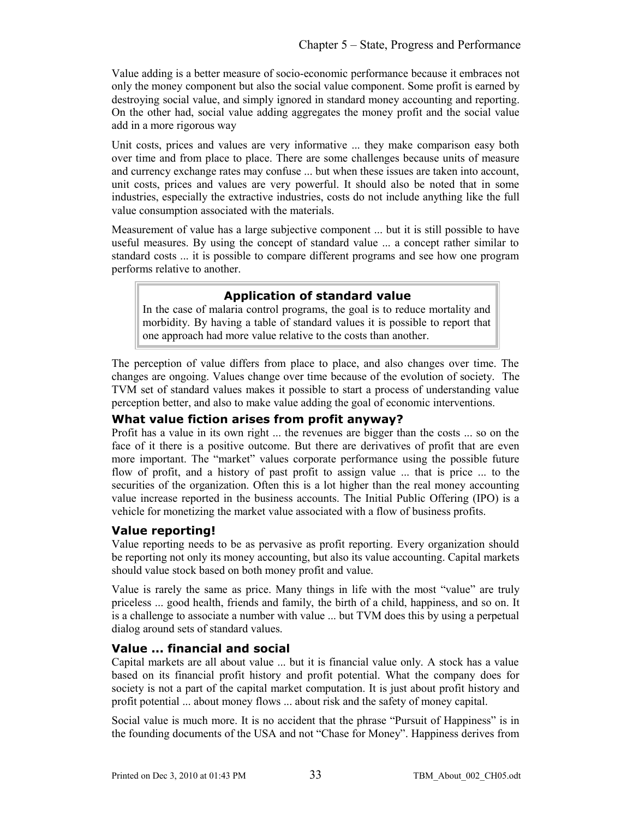Value adding is a better measure of socio-economic performance because it embraces not only the money component but also the social value component. Some profit is earned by destroying social value, and simply ignored in standard money accounting and reporting. On the other had, social value adding aggregates the money profit and the social value add in a more rigorous way

Unit costs, prices and values are very informative ... they make comparison easy both over time and from place to place. There are some challenges because units of measure and currency exchange rates may confuse ... but when these issues are taken into account, unit costs, prices and values are very powerful. It should also be noted that in some industries, especially the extractive industries, costs do not include anything like the full value consumption associated with the materials.

Measurement of value has a large subjective component ... but it is still possible to have useful measures. By using the concept of standard value ... a concept rather similar to standard costs ... it is possible to compare different programs and see how one program performs relative to another.

#### **Application of standard value**

In the case of malaria control programs, the goal is to reduce mortality and morbidity. By having a table of standard values it is possible to report that one approach had more value relative to the costs than another.

The perception of value differs from place to place, and also changes over time. The changes are ongoing. Values change over time because of the evolution of society. The TVM set of standard values makes it possible to start a process of understanding value perception better, and also to make value adding the goal of economic interventions.

#### **What value fiction arises from profit anyway?**

Profit has a value in its own right ... the revenues are bigger than the costs ... so on the face of it there is a positive outcome. But there are derivatives of profit that are even more important. The "market" values corporate performance using the possible future flow of profit, and a history of past profit to assign value ... that is price ... to the securities of the organization. Often this is a lot higher than the real money accounting value increase reported in the business accounts. The Initial Public Offering (IPO) is a vehicle for monetizing the market value associated with a flow of business profits.

#### **Value reporting!**

Value reporting needs to be as pervasive as profit reporting. Every organization should be reporting not only its money accounting, but also its value accounting. Capital markets should value stock based on both money profit and value.

Value is rarely the same as price. Many things in life with the most "value" are truly priceless ... good health, friends and family, the birth of a child, happiness, and so on. It is a challenge to associate a number with value ... but TVM does this by using a perpetual dialog around sets of standard values.

#### **Value ... financial and social**

Capital markets are all about value ... but it is financial value only. A stock has a value based on its financial profit history and profit potential. What the company does for society is not a part of the capital market computation. It is just about profit history and profit potential ... about money flows ... about risk and the safety of money capital.

Social value is much more. It is no accident that the phrase "Pursuit of Happiness" is in the founding documents of the USA and not "Chase for Money". Happiness derives from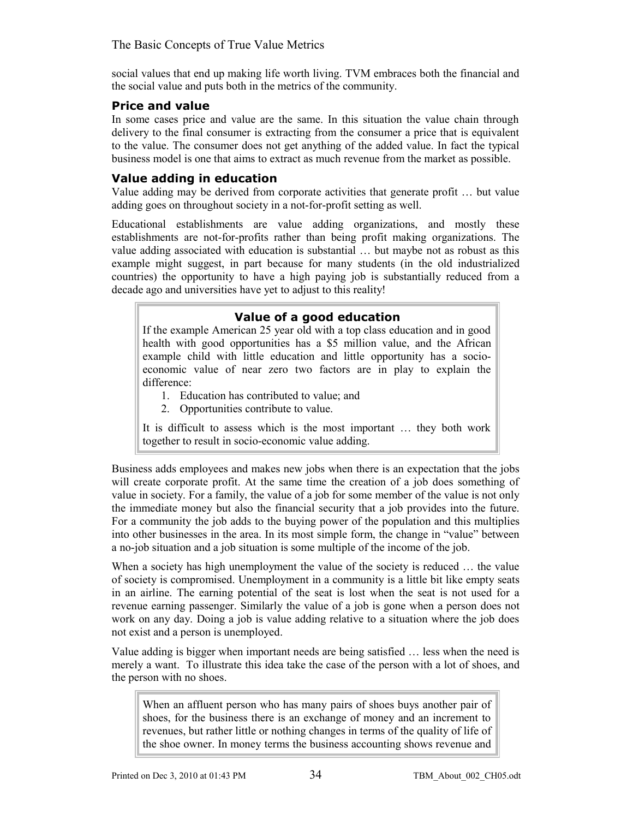social values that end up making life worth living. TVM embraces both the financial and the social value and puts both in the metrics of the community.

#### **Price and value**

In some cases price and value are the same. In this situation the value chain through delivery to the final consumer is extracting from the consumer a price that is equivalent to the value. The consumer does not get anything of the added value. In fact the typical business model is one that aims to extract as much revenue from the market as possible.

#### **Value adding in education**

Value adding may be derived from corporate activities that generate profit … but value adding goes on throughout society in a not-for-profit setting as well.

Educational establishments are value adding organizations, and mostly these establishments are not-for-profits rather than being profit making organizations. The value adding associated with education is substantial … but maybe not as robust as this example might suggest, in part because for many students (in the old industrialized countries) the opportunity to have a high paying job is substantially reduced from a decade ago and universities have yet to adjust to this reality!

#### **Value of a good education**

If the example American 25 year old with a top class education and in good health with good opportunities has a \$5 million value, and the African example child with little education and little opportunity has a socioeconomic value of near zero two factors are in play to explain the difference:

- 1. Education has contributed to value; and
- 2. Opportunities contribute to value.

It is difficult to assess which is the most important … they both work together to result in socio-economic value adding.

Business adds employees and makes new jobs when there is an expectation that the jobs will create corporate profit. At the same time the creation of a job does something of value in society. For a family, the value of a job for some member of the value is not only the immediate money but also the financial security that a job provides into the future. For a community the job adds to the buying power of the population and this multiplies into other businesses in the area. In its most simple form, the change in "value" between a no-job situation and a job situation is some multiple of the income of the job.

When a society has high unemployment the value of the society is reduced ... the value of society is compromised. Unemployment in a community is a little bit like empty seats in an airline. The earning potential of the seat is lost when the seat is not used for a revenue earning passenger. Similarly the value of a job is gone when a person does not work on any day. Doing a job is value adding relative to a situation where the job does not exist and a person is unemployed.

Value adding is bigger when important needs are being satisfied … less when the need is merely a want. To illustrate this idea take the case of the person with a lot of shoes, and the person with no shoes.

When an affluent person who has many pairs of shoes buys another pair of shoes, for the business there is an exchange of money and an increment to revenues, but rather little or nothing changes in terms of the quality of life of the shoe owner. In money terms the business accounting shows revenue and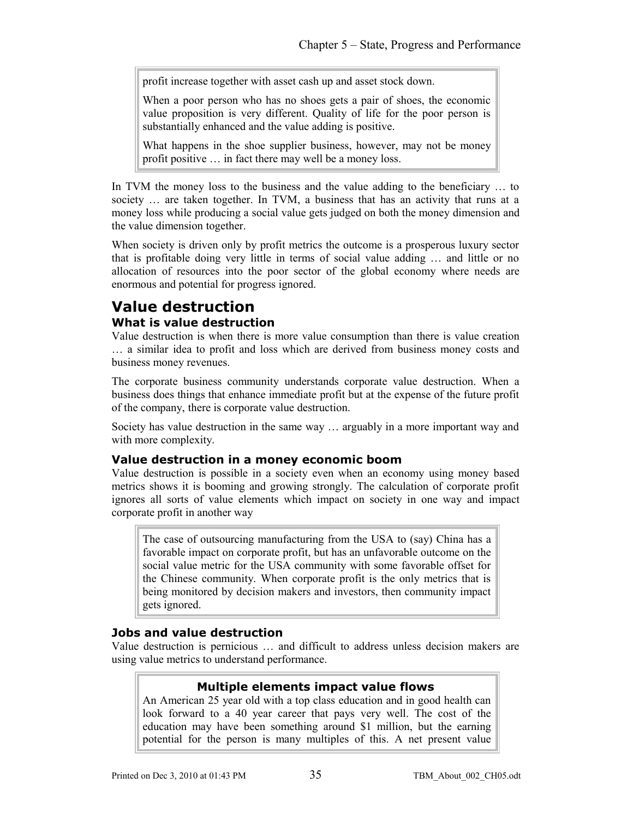profit increase together with asset cash up and asset stock down.

When a poor person who has no shoes gets a pair of shoes, the economic value proposition is very different. Quality of life for the poor person is substantially enhanced and the value adding is positive.

What happens in the shoe supplier business, however, may not be money profit positive … in fact there may well be a money loss.

In TVM the money loss to the business and the value adding to the beneficiary … to society … are taken together. In TVM, a business that has an activity that runs at a money loss while producing a social value gets judged on both the money dimension and the value dimension together.

When society is driven only by profit metrics the outcome is a prosperous luxury sector that is profitable doing very little in terms of social value adding … and little or no allocation of resources into the poor sector of the global economy where needs are enormous and potential for progress ignored.

#### **Value destruction What is value destruction**

Value destruction is when there is more value consumption than there is value creation … a similar idea to profit and loss which are derived from business money costs and business money revenues.

The corporate business community understands corporate value destruction. When a business does things that enhance immediate profit but at the expense of the future profit of the company, there is corporate value destruction.

Society has value destruction in the same way … arguably in a more important way and with more complexity.

#### **Value destruction in a money economic boom**

Value destruction is possible in a society even when an economy using money based metrics shows it is booming and growing strongly. The calculation of corporate profit ignores all sorts of value elements which impact on society in one way and impact corporate profit in another way

The case of outsourcing manufacturing from the USA to (say) China has a favorable impact on corporate profit, but has an unfavorable outcome on the social value metric for the USA community with some favorable offset for the Chinese community. When corporate profit is the only metrics that is being monitored by decision makers and investors, then community impact gets ignored.

#### **Jobs and value destruction**

Value destruction is pernicious … and difficult to address unless decision makers are using value metrics to understand performance.

#### **Multiple elements impact value flows**

An American 25 year old with a top class education and in good health can look forward to a 40 year career that pays very well. The cost of the education may have been something around \$1 million, but the earning potential for the person is many multiples of this. A net present value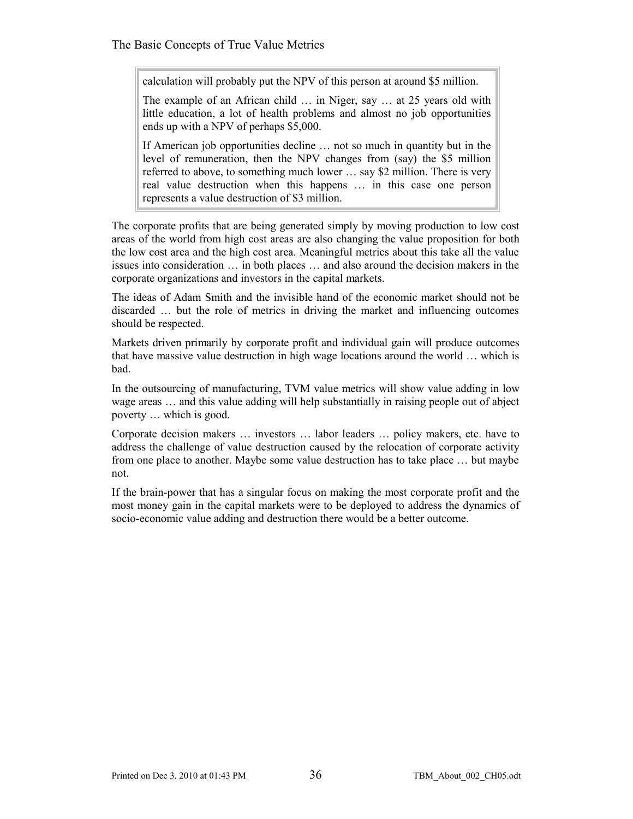calculation will probably put the NPV of this person at around \$5 million.

The example of an African child … in Niger, say … at 25 years old with little education, a lot of health problems and almost no job opportunities ends up with a NPV of perhaps \$5,000.

If American job opportunities decline … not so much in quantity but in the level of remuneration, then the NPV changes from (say) the \$5 million referred to above, to something much lower … say \$2 million. There is very real value destruction when this happens … in this case one person represents a value destruction of \$3 million.

The corporate profits that are being generated simply by moving production to low cost areas of the world from high cost areas are also changing the value proposition for both the low cost area and the high cost area. Meaningful metrics about this take all the value issues into consideration … in both places … and also around the decision makers in the corporate organizations and investors in the capital markets.

The ideas of Adam Smith and the invisible hand of the economic market should not be discarded … but the role of metrics in driving the market and influencing outcomes should be respected.

Markets driven primarily by corporate profit and individual gain will produce outcomes that have massive value destruction in high wage locations around the world … which is bad.

In the outsourcing of manufacturing, TVM value metrics will show value adding in low wage areas … and this value adding will help substantially in raising people out of abject poverty … which is good.

Corporate decision makers … investors … labor leaders … policy makers, etc. have to address the challenge of value destruction caused by the relocation of corporate activity from one place to another. Maybe some value destruction has to take place … but maybe not.

If the brain-power that has a singular focus on making the most corporate profit and the most money gain in the capital markets were to be deployed to address the dynamics of socio-economic value adding and destruction there would be a better outcome.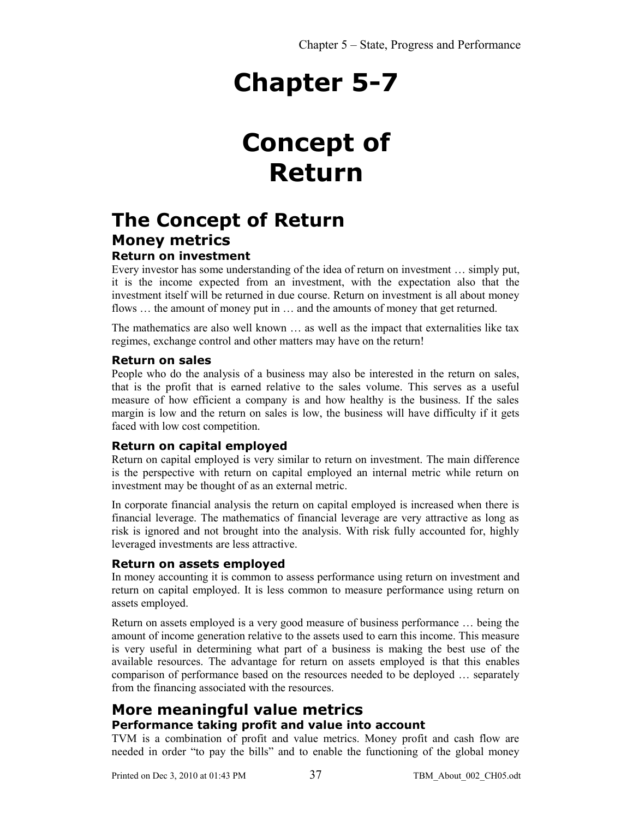## **Chapter 5-7**

## **Concept of Return**

## **The Concept of Return Money metrics**

#### **Return on investment**

Every investor has some understanding of the idea of return on investment … simply put, it is the income expected from an investment, with the expectation also that the investment itself will be returned in due course. Return on investment is all about money flows … the amount of money put in … and the amounts of money that get returned.

The mathematics are also well known … as well as the impact that externalities like tax regimes, exchange control and other matters may have on the return!

#### **Return on sales**

People who do the analysis of a business may also be interested in the return on sales, that is the profit that is earned relative to the sales volume. This serves as a useful measure of how efficient a company is and how healthy is the business. If the sales margin is low and the return on sales is low, the business will have difficulty if it gets faced with low cost competition.

#### **Return on capital employed**

Return on capital employed is very similar to return on investment. The main difference is the perspective with return on capital employed an internal metric while return on investment may be thought of as an external metric.

In corporate financial analysis the return on capital employed is increased when there is financial leverage. The mathematics of financial leverage are very attractive as long as risk is ignored and not brought into the analysis. With risk fully accounted for, highly leveraged investments are less attractive.

#### **Return on assets employed**

In money accounting it is common to assess performance using return on investment and return on capital employed. It is less common to measure performance using return on assets employed.

Return on assets employed is a very good measure of business performance … being the amount of income generation relative to the assets used to earn this income. This measure is very useful in determining what part of a business is making the best use of the available resources. The advantage for return on assets employed is that this enables comparison of performance based on the resources needed to be deployed … separately from the financing associated with the resources.

#### **More meaningful value metrics Performance taking profit and value into account**

TVM is a combination of profit and value metrics. Money profit and cash flow are needed in order "to pay the bills" and to enable the functioning of the global money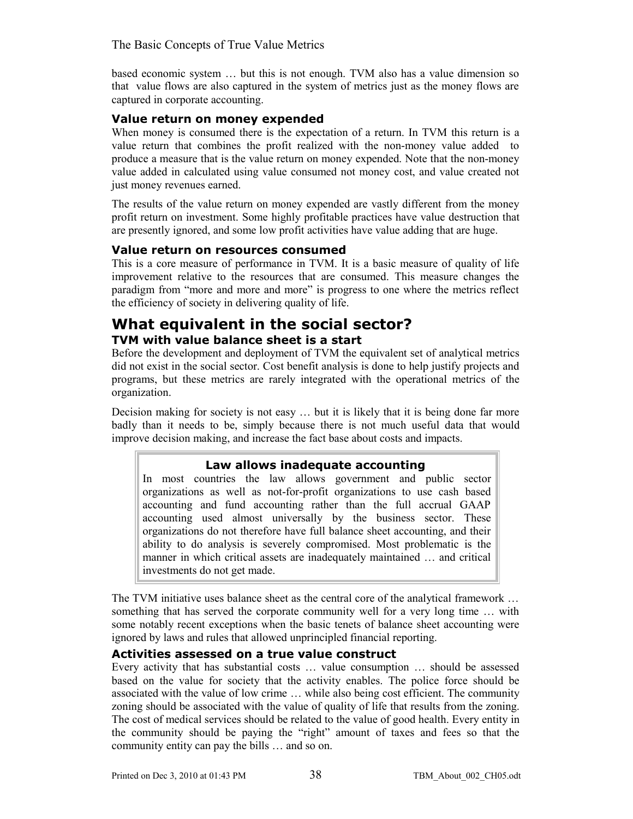The Basic Concepts of True Value Metrics

based economic system … but this is not enough. TVM also has a value dimension so that value flows are also captured in the system of metrics just as the money flows are captured in corporate accounting.

#### **Value return on money expended**

When money is consumed there is the expectation of a return. In TVM this return is a value return that combines the profit realized with the non-money value added to produce a measure that is the value return on money expended. Note that the non-money value added in calculated using value consumed not money cost, and value created not just money revenues earned.

The results of the value return on money expended are vastly different from the money profit return on investment. Some highly profitable practices have value destruction that are presently ignored, and some low profit activities have value adding that are huge.

#### **Value return on resources consumed**

This is a core measure of performance in TVM. It is a basic measure of quality of life improvement relative to the resources that are consumed. This measure changes the paradigm from "more and more and more" is progress to one where the metrics reflect the efficiency of society in delivering quality of life.

#### **What equivalent in the social sector? TVM with value balance sheet is a start**

Before the development and deployment of TVM the equivalent set of analytical metrics did not exist in the social sector. Cost benefit analysis is done to help justify projects and programs, but these metrics are rarely integrated with the operational metrics of the organization.

Decision making for society is not easy … but it is likely that it is being done far more badly than it needs to be, simply because there is not much useful data that would improve decision making, and increase the fact base about costs and impacts.

#### **Law allows inadequate accounting**

In most countries the law allows government and public sector organizations as well as not-for-profit organizations to use cash based accounting and fund accounting rather than the full accrual GAAP accounting used almost universally by the business sector. These organizations do not therefore have full balance sheet accounting, and their ability to do analysis is severely compromised. Most problematic is the manner in which critical assets are inadequately maintained … and critical investments do not get made.

The TVM initiative uses balance sheet as the central core of the analytical framework ... something that has served the corporate community well for a very long time … with some notably recent exceptions when the basic tenets of balance sheet accounting were ignored by laws and rules that allowed unprincipled financial reporting.

#### **Activities assessed on a true value construct**

Every activity that has substantial costs … value consumption … should be assessed based on the value for society that the activity enables. The police force should be associated with the value of low crime … while also being cost efficient. The community zoning should be associated with the value of quality of life that results from the zoning. The cost of medical services should be related to the value of good health. Every entity in the community should be paying the "right" amount of taxes and fees so that the community entity can pay the bills … and so on.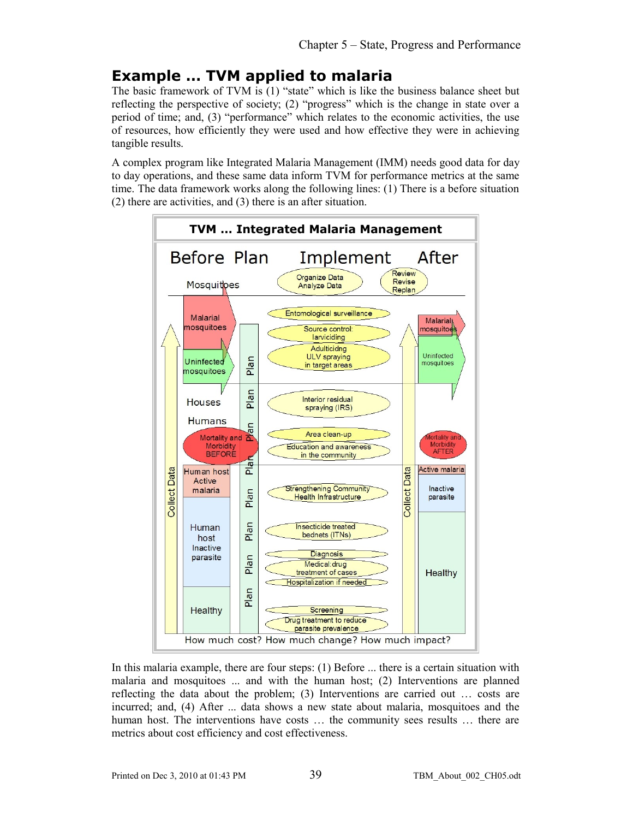### **Example … TVM applied to malaria**

The basic framework of TVM is (1) "state" which is like the business balance sheet but reflecting the perspective of society; (2) "progress" which is the change in state over a period of time; and, (3) "performance" which relates to the economic activities, the use of resources, how efficiently they were used and how effective they were in achieving tangible results.

A complex program like Integrated Malaria Management (IMM) needs good data for day to day operations, and these same data inform TVM for performance metrics at the same time. The data framework works along the following lines: (1) There is a before situation (2) there are activities, and (3) there is an after situation.



In this malaria example, there are four steps: (1) Before ... there is a certain situation with malaria and mosquitoes ... and with the human host; (2) Interventions are planned reflecting the data about the problem; (3) Interventions are carried out … costs are incurred; and, (4) After ... data shows a new state about malaria, mosquitoes and the human host. The interventions have costs ... the community sees results ... there are metrics about cost efficiency and cost effectiveness.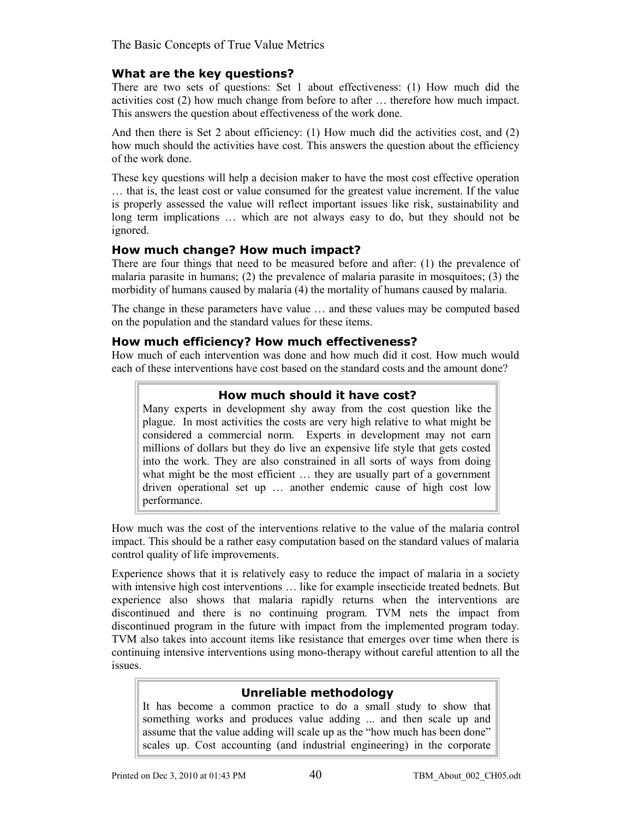The Basic Concepts of True Value Metrics

#### **What are the key questions?**

There are two sets of questions: Set 1 about effectiveness: (1) How much did the activities cost (2) how much change from before to after … therefore how much impact. This answers the question about effectiveness of the work done.

And then there is Set 2 about efficiency: (1) How much did the activities cost, and (2) how much should the activities have cost. This answers the question about the efficiency of the work done.

These key questions will help a decision maker to have the most cost effective operation … that is, the least cost or value consumed for the greatest value increment. If the value is properly assessed the value will reflect important issues like risk, sustainability and long term implications … which are not always easy to do, but they should not be ignored.

#### **How much change? How much impact?**

There are four things that need to be measured before and after: (1) the prevalence of malaria parasite in humans; (2) the prevalence of malaria parasite in mosquitoes; (3) the morbidity of humans caused by malaria (4) the mortality of humans caused by malaria.

The change in these parameters have value … and these values may be computed based on the population and the standard values for these items.

#### **How much efficiency? How much effectiveness?**

How much of each intervention was done and how much did it cost. How much would each of these interventions have cost based on the standard costs and the amount done?

#### **How much should it have cost?**

Many experts in development shy away from the cost question like the plague. In most activities the costs are very high relative to what might be considered a commercial norm. Experts in development may not earn millions of dollars but they do live an expensive life style that gets costed into the work. They are also constrained in all sorts of ways from doing what might be the most efficient ... they are usually part of a government driven operational set up … another endemic cause of high cost low performance.

How much was the cost of the interventions relative to the value of the malaria control impact. This should be a rather easy computation based on the standard values of malaria control quality of life improvements.

Experience shows that it is relatively easy to reduce the impact of malaria in a society with intensive high cost interventions … like for example insecticide treated bednets. But experience also shows that malaria rapidly returns when the interventions are discontinued and there is no continuing program. TVM nets the impact from discontinued program in the future with impact from the implemented program today. TVM also takes into account items like resistance that emerges over time when there is continuing intensive interventions using mono-therapy without careful attention to all the issues.

#### **Unreliable methodology**

It has become a common practice to do a small study to show that something works and produces value adding ... and then scale up and assume that the value adding will scale up as the "how much has been done" scales up. Cost accounting (and industrial engineering) in the corporate